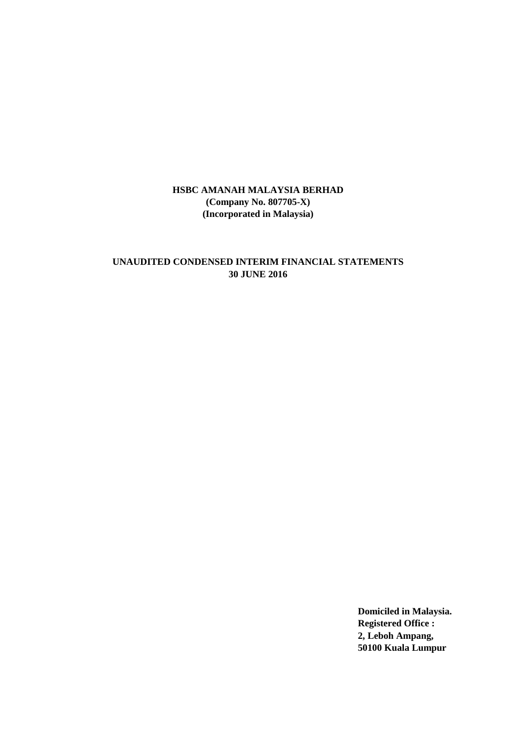# **UNAUDITED CONDENSED INTERIM FINANCIAL STATEMENTS 30 JUNE 2016**

**Domiciled in Malaysia. Registered Office : 2, Leboh Ampang, 50100 Kuala Lumpur**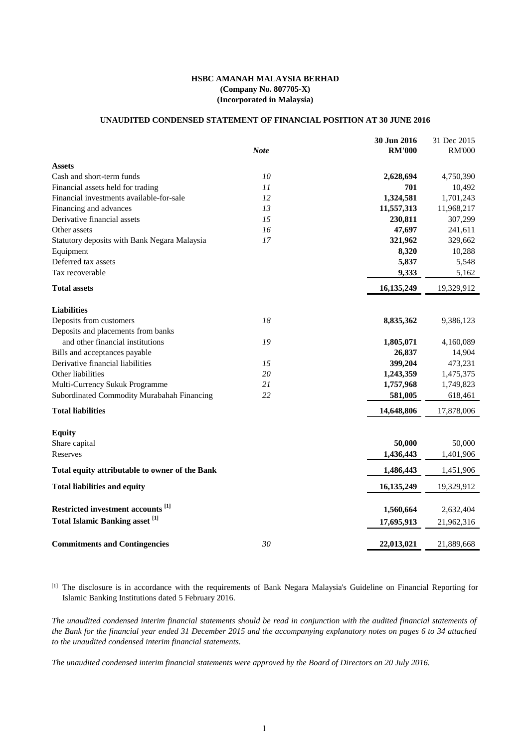#### **UNAUDITED CONDENSED STATEMENT OF FINANCIAL POSITION AT 30 JUNE 2016**

|                                                   |             | 30 Jun 2016   | 31 Dec 2015   |
|---------------------------------------------------|-------------|---------------|---------------|
|                                                   | <b>Note</b> | <b>RM'000</b> | <b>RM'000</b> |
| <b>Assets</b>                                     |             |               |               |
| Cash and short-term funds                         | 10          | 2,628,694     | 4,750,390     |
| Financial assets held for trading                 | 11          | 701           | 10,492        |
| Financial investments available-for-sale          | 12          | 1,324,581     | 1,701,243     |
| Financing and advances                            | 13          | 11,557,313    | 11,968,217    |
| Derivative financial assets                       | 15          | 230,811       | 307,299       |
| Other assets                                      | 16          | 47,697        | 241,611       |
| Statutory deposits with Bank Negara Malaysia      | 17          | 321,962       | 329,662       |
| Equipment                                         |             | 8,320         | 10,288        |
| Deferred tax assets                               |             | 5,837         | 5,548         |
| Tax recoverable                                   |             | 9,333         | 5,162         |
| <b>Total assets</b>                               |             | 16,135,249    | 19,329,912    |
| <b>Liabilities</b>                                |             |               |               |
| Deposits from customers                           | 18          | 8,835,362     | 9,386,123     |
| Deposits and placements from banks                |             |               |               |
| and other financial institutions                  | 19          | 1,805,071     | 4,160,089     |
| Bills and acceptances payable                     |             | 26,837        | 14,904        |
| Derivative financial liabilities                  | 15          | 399,204       | 473,231       |
| Other liabilities                                 | 20          | 1,243,359     | 1,475,375     |
| Multi-Currency Sukuk Programme                    | 21          | 1,757,968     | 1,749,823     |
| Subordinated Commodity Murabahah Financing        | 22          | 581,005       | 618,461       |
| <b>Total liabilities</b>                          |             | 14,648,806    | 17,878,006    |
| <b>Equity</b>                                     |             |               |               |
| Share capital                                     |             | 50,000        | 50,000        |
| Reserves                                          |             | 1,436,443     | 1,401,906     |
|                                                   |             |               |               |
| Total equity attributable to owner of the Bank    |             | 1,486,443     | 1,451,906     |
| <b>Total liabilities and equity</b>               |             | 16, 135, 249  | 19,329,912    |
| Restricted investment accounts <sup>[1]</sup>     |             | 1,560,664     | 2,632,404     |
| <b>Total Islamic Banking asset</b> <sup>[1]</sup> |             |               |               |
|                                                   |             | 17,695,913    | 21,962,316    |
| <b>Commitments and Contingencies</b>              | 30          | 22,013,021    | 21,889,668    |

[1] The disclosure is in accordance with the requirements of Bank Negara Malaysia's Guideline on Financial Reporting for Islamic Banking Institutions dated 5 February 2016.

The unaudited condensed interim financial statements should be read in conjunction with the audited financial statements of the Bank for the financial year ended 31 December 2015 and the accompanying explanatory notes on pages 6 to 34 attached *to the unaudited condensed interim financial statements.*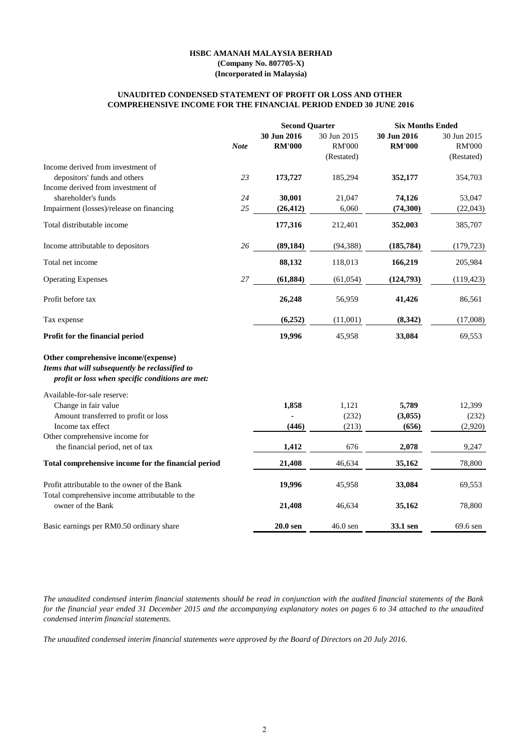#### **HSBC AMANAH MALAYSIA BERHAD**

**(Company No. 807705-X) (Incorporated in Malaysia)**

#### **COMPREHENSIVE INCOME FOR THE FINANCIAL PERIOD ENDED 30 JUNE 2016 UNAUDITED CONDENSED STATEMENT OF PROFIT OR LOSS AND OTHER**

|                                                                                                                                             |             | <b>Second Quarter</b> |               | <b>Six Months Ended</b> |               |  |
|---------------------------------------------------------------------------------------------------------------------------------------------|-------------|-----------------------|---------------|-------------------------|---------------|--|
|                                                                                                                                             |             | 30 Jun 2016           | 30 Jun 2015   | 30 Jun 2016             | 30 Jun 2015   |  |
|                                                                                                                                             | <b>Note</b> | <b>RM'000</b>         | <b>RM'000</b> | <b>RM'000</b>           | <b>RM'000</b> |  |
|                                                                                                                                             |             |                       | (Restated)    |                         | (Restated)    |  |
| Income derived from investment of                                                                                                           |             |                       |               |                         |               |  |
| depositors' funds and others                                                                                                                | 23          | 173,727               | 185,294       | 352,177                 | 354,703       |  |
| Income derived from investment of                                                                                                           |             |                       |               |                         |               |  |
| shareholder's funds                                                                                                                         | 24          | 30,001                | 21,047        | 74,126                  | 53,047        |  |
| Impairment (losses)/release on financing                                                                                                    | 25          | (26, 412)             | 6,060         | (74, 300)               | (22,043)      |  |
|                                                                                                                                             |             |                       |               |                         |               |  |
| Total distributable income                                                                                                                  |             | 177,316               | 212,401       | 352,003                 | 385,707       |  |
| Income attributable to depositors                                                                                                           | 26          | (89, 184)             | (94, 388)     | (185, 784)              | (179, 723)    |  |
| Total net income                                                                                                                            |             | 88,132                | 118,013       | 166,219                 | 205,984       |  |
| <b>Operating Expenses</b>                                                                                                                   | 27          | (61, 884)             | (61, 054)     | (124,793)               | (119, 423)    |  |
| Profit before tax                                                                                                                           |             | 26,248                | 56,959        | 41,426                  | 86,561        |  |
| Tax expense                                                                                                                                 |             | (6,252)               | (11,001)      | (8,342)                 | (17,008)      |  |
| Profit for the financial period                                                                                                             |             | 19,996                | 45,958        | 33,084                  | 69,553        |  |
| Other comprehensive income/(expense)<br>Items that will subsequently be reclassified to<br>profit or loss when specific conditions are met: |             |                       |               |                         |               |  |
| Available-for-sale reserve:                                                                                                                 |             |                       |               |                         |               |  |
| Change in fair value                                                                                                                        |             | 1,858                 | 1,121         | 5,789                   | 12,399        |  |
| Amount transferred to profit or loss                                                                                                        |             |                       | (232)         | (3,055)                 | (232)         |  |
| Income tax effect                                                                                                                           |             | (446)                 | (213)         | (656)                   | (2,920)       |  |
| Other comprehensive income for                                                                                                              |             |                       |               |                         |               |  |
| the financial period, net of tax                                                                                                            |             | 1,412                 | 676           | 2,078                   | 9,247         |  |
| Total comprehensive income for the financial period                                                                                         |             | 21,408                | 46,634        | 35,162                  | 78,800        |  |
| Profit attributable to the owner of the Bank                                                                                                |             | 19,996                | 45,958        | 33,084                  | 69,553        |  |
| Total comprehensive income attributable to the                                                                                              |             |                       |               |                         |               |  |
| owner of the Bank                                                                                                                           |             | 21,408                | 46,634        | 35,162                  | 78,800        |  |
| Basic earnings per RM0.50 ordinary share                                                                                                    |             | 20.0 sen              | $46.0$ sen    | 33.1 sen                | 69.6 sen      |  |

The unaudited condensed interim financial statements should be read in conjunction with the audited financial statements of the Bank for the financial year ended 31 December 2015 and the accompanying explanatory notes on pages 6 to 34 attached to the unaudited *condensed interim financial statements.*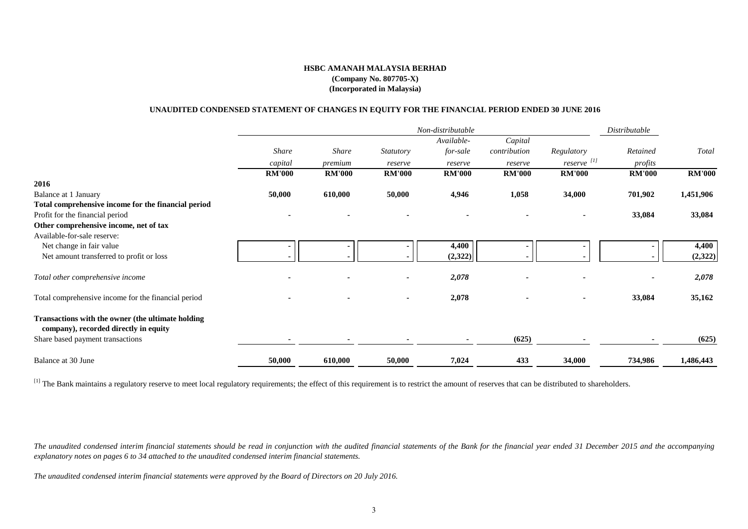# **UNAUDITED CONDENSED STATEMENT OF CHANGES IN EQUITY FOR THE FINANCIAL PERIOD ENDED 30 JUNE 2016**

|                                                                                            |               |               |                  | Non-distributable |               |                        | Distributable |               |
|--------------------------------------------------------------------------------------------|---------------|---------------|------------------|-------------------|---------------|------------------------|---------------|---------------|
|                                                                                            |               |               |                  | Available-        | Capital       |                        |               |               |
|                                                                                            | <b>Share</b>  | <b>Share</b>  | <b>Statutory</b> | for-sale          | contribution  | Regulatory             | Retained      | Total         |
|                                                                                            | capital       | premium       | reserve          | reserve           | reserve       | reserve <sup>[1]</sup> | profits       |               |
|                                                                                            | <b>RM'000</b> | <b>RM'000</b> | <b>RM'000</b>    | <b>RM'000</b>     | <b>RM'000</b> | <b>RM'000</b>          | <b>RM'000</b> | <b>RM'000</b> |
| 2016                                                                                       |               |               |                  |                   |               |                        |               |               |
| Balance at 1 January                                                                       | 50,000        | 610,000       | 50,000           | 4,946             | 1,058         | 34,000                 | 701,902       | 1,451,906     |
| Total comprehensive income for the financial period                                        |               |               |                  |                   |               |                        |               |               |
| Profit for the financial period                                                            |               |               |                  |                   |               |                        | 33,084        | 33,084        |
| Other comprehensive income, net of tax                                                     |               |               |                  |                   |               |                        |               |               |
| Available-for-sale reserve:                                                                |               |               |                  |                   |               |                        |               |               |
| Net change in fair value                                                                   |               |               |                  | 4,400             |               |                        |               | 4,400         |
| Net amount transferred to profit or loss                                                   |               |               |                  | (2,322)           |               |                        |               | (2,322)       |
| Total other comprehensive income                                                           |               |               |                  | 2,078             |               |                        |               | 2,078         |
| Total comprehensive income for the financial period                                        |               |               |                  | 2,078             |               | $\blacksquare$         | 33,084        | 35,162        |
| Transactions with the owner (the ultimate holding<br>company), recorded directly in equity |               |               |                  |                   |               |                        |               |               |
| Share based payment transactions                                                           |               |               |                  |                   | (625)         |                        |               | (625)         |
| Balance at 30 June                                                                         | 50,000        | 610,000       | 50,000           | 7,024             | 433           | 34,000                 | 734,986       | 1,486,443     |

<sup>[1]</sup> The Bank maintains a regulatory reserve to meet local regulatory requirements; the effect of this requirement is to restrict the amount of reserves that can be distributed to shareholders.

The unaudited condensed interim financial statements should be read in conjunction with the audited financial statements of the Bank for the financial year ended 31 December 2015 and the accompanying *explanatory notes on pages 6 to 34 attached to the unaudited condensed interim financial statements.*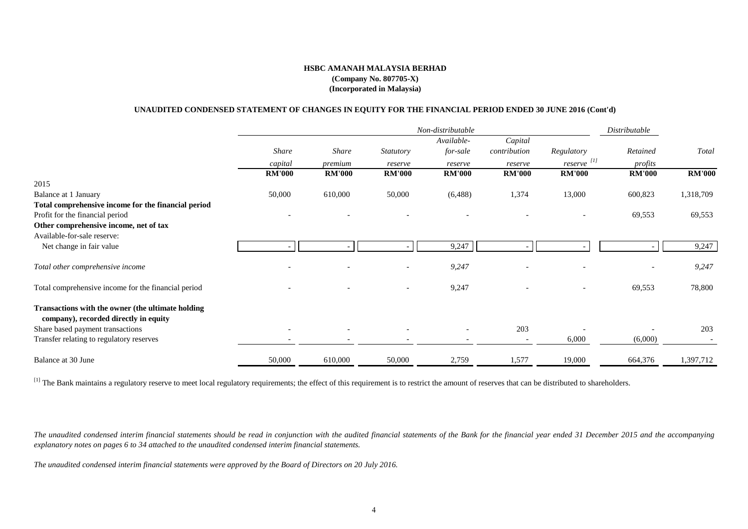#### **UNAUDITED CONDENSED STATEMENT OF CHANGES IN EQUITY FOR THE FINANCIAL PERIOD ENDED 30 JUNE 2016 (Cont'd)**

|                                                                                            |               |               |                  | Non-distributable        |                          |                        | Distributable |                          |
|--------------------------------------------------------------------------------------------|---------------|---------------|------------------|--------------------------|--------------------------|------------------------|---------------|--------------------------|
|                                                                                            |               |               |                  | Available-               | Capital                  |                        |               |                          |
|                                                                                            | <b>Share</b>  | <b>Share</b>  | <i>Statutory</i> | for-sale                 | contribution             | Regulatory             | Retained      | Total                    |
|                                                                                            | capital       | premium       | reserve          | reserve                  | reserve                  | reserve <sup>[1]</sup> | profits       |                          |
|                                                                                            | <b>RM'000</b> | <b>RM'000</b> | <b>RM'000</b>    | <b>RM'000</b>            | <b>RM'000</b>            | <b>RM'000</b>          | <b>RM'000</b> | <b>RM'000</b>            |
| 2015                                                                                       |               |               |                  |                          |                          |                        |               |                          |
| Balance at 1 January                                                                       | 50,000        | 610,000       | 50,000           | (6, 488)                 | 1,374                    | 13,000                 | 600,823       | 1,318,709                |
| Total comprehensive income for the financial period                                        |               |               |                  |                          |                          |                        |               |                          |
| Profit for the financial period                                                            |               |               |                  |                          |                          |                        | 69,553        | 69,553                   |
| Other comprehensive income, net of tax                                                     |               |               |                  |                          |                          |                        |               |                          |
| Available-for-sale reserve:                                                                |               |               |                  |                          |                          |                        |               |                          |
| Net change in fair value                                                                   |               |               |                  | 9,247                    |                          |                        |               | 9,247                    |
| Total other comprehensive income                                                           |               |               |                  | 9,247                    |                          |                        |               | 9,247                    |
| Total comprehensive income for the financial period                                        |               |               |                  | 9,247                    |                          |                        | 69,553        | 78,800                   |
| Transactions with the owner (the ultimate holding<br>company), recorded directly in equity |               |               |                  |                          |                          |                        |               |                          |
| Share based payment transactions                                                           |               |               |                  |                          | 203                      |                        |               | 203                      |
| Transfer relating to regulatory reserves                                                   |               |               |                  | $\overline{\phantom{a}}$ | $\overline{\phantom{a}}$ | 6,000                  | (6,000)       | $\overline{\phantom{a}}$ |
| Balance at 30 June                                                                         | 50,000        | 610,000       | 50,000           | 2,759                    | 1,577                    | 19,000                 | 664,376       | 1,397,712                |

<sup>[1]</sup> The Bank maintains a regulatory reserve to meet local regulatory requirements; the effect of this requirement is to restrict the amount of reserves that can be distributed to shareholders.

The unaudited condensed interim financial statements should be read in conjunction with the audited financial statements of the Bank for the financial year ended 31 December 2015 and the accompanying *explanatory notes on pages 6 to 34 attached to the unaudited condensed interim financial statements.*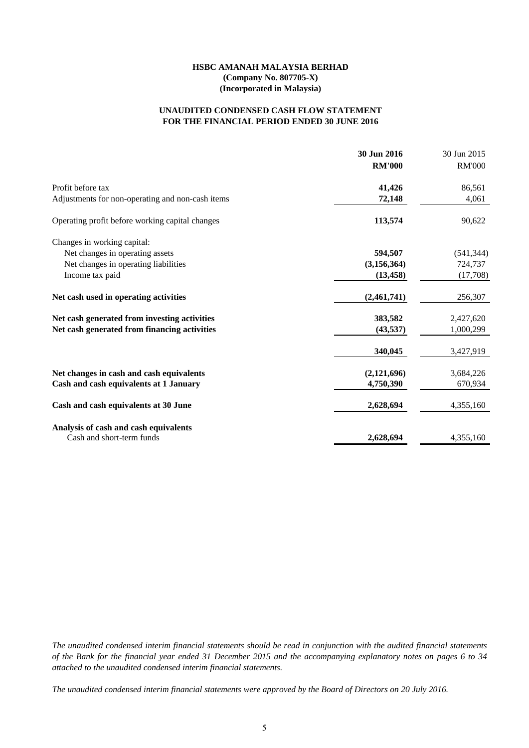### **FOR THE FINANCIAL PERIOD ENDED 30 JUNE 2016 UNAUDITED CONDENSED CASH FLOW STATEMENT**

|                                                  | 30 Jun 2016<br><b>RM'000</b> | 30 Jun 2015<br><b>RM'000</b> |
|--------------------------------------------------|------------------------------|------------------------------|
| Profit before tax                                | 41,426                       | 86,561                       |
| Adjustments for non-operating and non-cash items | 72,148                       | 4,061                        |
| Operating profit before working capital changes  | 113,574                      | 90,622                       |
| Changes in working capital:                      |                              |                              |
| Net changes in operating assets                  | 594,507                      | (541, 344)                   |
| Net changes in operating liabilities             | (3, 156, 364)                | 724,737                      |
| Income tax paid                                  | (13, 458)                    | (17,708)                     |
| Net cash used in operating activities            | (2,461,741)                  | 256,307                      |
| Net cash generated from investing activities     | 383,582                      | 2,427,620                    |
| Net cash generated from financing activities     | (43, 537)                    | 1,000,299                    |
|                                                  | 340,045                      | 3,427,919                    |
| Net changes in cash and cash equivalents         | (2,121,696)                  | 3,684,226                    |
| Cash and cash equivalents at 1 January           | 4,750,390                    | 670,934                      |
| Cash and cash equivalents at 30 June             | 2,628,694                    | 4,355,160                    |
| Analysis of cash and cash equivalents            |                              |                              |
| Cash and short-term funds                        | 2,628,694                    | 4,355,160                    |

The unaudited condensed interim financial statements should be read in conjunction with the audited financial statements of the Bank for the financial year ended 31 December 2015 and the accompanying explanatory notes on pages 6 to 34 *attached to the unaudited condensed interim financial statements.*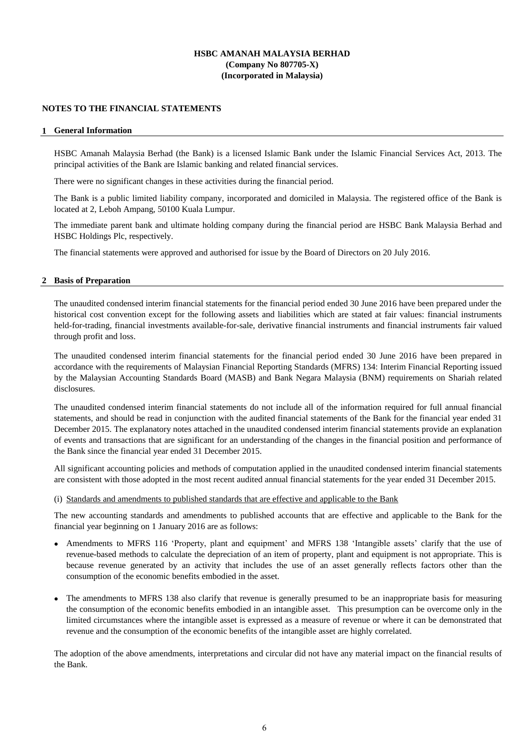#### **NOTES TO THE FINANCIAL STATEMENTS**

#### **1 General Information**

HSBC Amanah Malaysia Berhad (the Bank) is a licensed Islamic Bank under the Islamic Financial Services Act, 2013. The principal activities of the Bank are Islamic banking and related financial services.

There were no significant changes in these activities during the financial period.

The Bank is a public limited liability company, incorporated and domiciled in Malaysia. The registered office of the Bank is located at 2, Leboh Ampang, 50100 Kuala Lumpur.

The immediate parent bank and ultimate holding company during the financial period are HSBC Bank Malaysia Berhad and HSBC Holdings Plc, respectively.

The financial statements were approved and authorised for issue by the Board of Directors on 20 July 2016.

#### **2 Basis of Preparation**

The unaudited condensed interim financial statements for the financial period ended 30 June 2016 have been prepared under the historical cost convention except for the following assets and liabilities which are stated at fair values: financial instruments held-for-trading, financial investments available-for-sale, derivative financial instruments and financial instruments fair valued through profit and loss.

The unaudited condensed interim financial statements for the financial period ended 30 June 2016 have been prepared in accordance with the requirements of Malaysian Financial Reporting Standards (MFRS) 134: Interim Financial Reporting issued by the Malaysian Accounting Standards Board (MASB) and Bank Negara Malaysia (BNM) requirements on Shariah related disclosures.

The unaudited condensed interim financial statements do not include all of the information required for full annual financial statements, and should be read in conjunction with the audited financial statements of the Bank for the financial year ended 31 December 2015. The explanatory notes attached in the unaudited condensed interim financial statements provide an explanation of events and transactions that are significant for an understanding of the changes in the financial position and performance of the Bank since the financial year ended 31 December 2015.

All significant accounting policies and methods of computation applied in the unaudited condensed interim financial statements are consistent with those adopted in the most recent audited annual financial statements for the year ended 31 December 2015.

#### (i) Standards and amendments to published standards that are effective and applicable to the Bank

The new accounting standards and amendments to published accounts that are effective and applicable to the Bank for the financial year beginning on 1 January 2016 are as follows:

- Amendments to MFRS 116 'Property, plant and equipment' and MFRS 138 'Intangible assets' clarify that the use of revenue-based methods to calculate the depreciation of an item of property, plant and equipment is not appropriate. This is because revenue generated by an activity that includes the use of an asset generally reflects factors other than the consumption of the economic benefits embodied in the asset.
- The amendments to MFRS 138 also clarify that revenue is generally presumed to be an inappropriate basis for measuring the consumption of the economic benefits embodied in an intangible asset. This presumption can be overcome only in the limited circumstances where the intangible asset is expressed as a measure of revenue or where it can be demonstrated that revenue and the consumption of the economic benefits of the intangible asset are highly correlated.

The adoption of the above amendments, interpretations and circular did not have any material impact on the financial results of the Bank.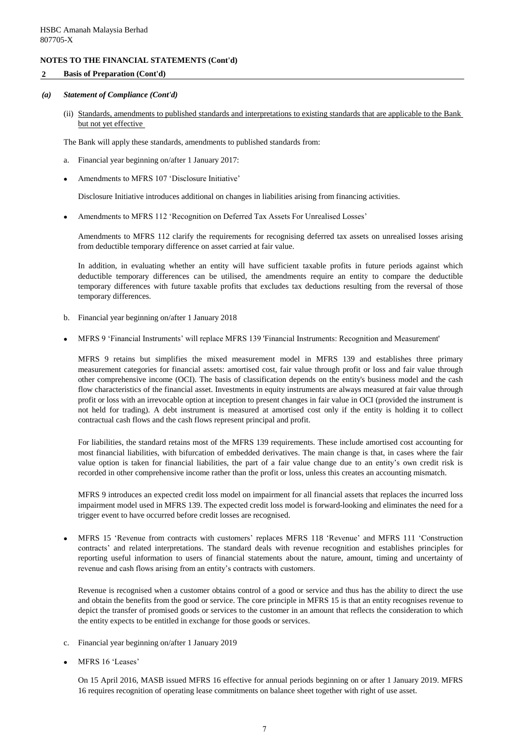### **2 Basis of Preparation (Cont'd)**

#### *(a) Statement of Compliance (Cont'd)*

(ii) Standards, amendments to published standards and interpretations to existing standards that are applicable to the Bank but not yet effective

The Bank will apply these standards, amendments to published standards from:

- a. Financial year beginning on/after 1 January 2017:
- $\bullet$ Amendments to MFRS 107 'Disclosure Initiative'

Disclosure Initiative introduces additional on changes in liabilities arising from financing activities.

 $\bullet$ Amendments to MFRS 112 'Recognition on Deferred Tax Assets For Unrealised Losses'

Amendments to MFRS 112 clarify the requirements for recognising deferred tax assets on unrealised losses arising from deductible temporary difference on asset carried at fair value.

In addition, in evaluating whether an entity will have sufficient taxable profits in future periods against which deductible temporary differences can be utilised, the amendments require an entity to compare the deductible temporary differences with future taxable profits that excludes tax deductions resulting from the reversal of those temporary differences.

- b. Financial year beginning on/after 1 January 2018
- $\bullet$ MFRS 9 'Financial Instruments' will replace MFRS 139 'Financial Instruments: Recognition and Measurement'

MFRS 9 retains but simplifies the mixed measurement model in MFRS 139 and establishes three primary measurement categories for financial assets: amortised cost, fair value through profit or loss and fair value through other comprehensive income (OCI). The basis of classification depends on the entity's business model and the cash flow characteristics of the financial asset. Investments in equity instruments are always measured at fair value through profit or loss with an irrevocable option at inception to present changes in fair value in OCI (provided the instrument is not held for trading). A debt instrument is measured at amortised cost only if the entity is holding it to collect contractual cash flows and the cash flows represent principal and profit.

For liabilities, the standard retains most of the MFRS 139 requirements. These include amortised cost accounting for most financial liabilities, with bifurcation of embedded derivatives. The main change is that, in cases where the fair value option is taken for financial liabilities, the part of a fair value change due to an entity's own credit risk is recorded in other comprehensive income rather than the profit or loss, unless this creates an accounting mismatch.

MFRS 9 introduces an expected credit loss model on impairment for all financial assets that replaces the incurred loss impairment model used in MFRS 139. The expected credit loss model is forward-looking and eliminates the need for a trigger event to have occurred before credit losses are recognised.

 $\bullet$ MFRS 15 'Revenue from contracts with customers' replaces MFRS 118 'Revenue' and MFRS 111 'Construction contracts' and related interpretations. The standard deals with revenue recognition and establishes principles for reporting useful information to users of financial statements about the nature, amount, timing and uncertainty of revenue and cash flows arising from an entity's contracts with customers.

Revenue is recognised when a customer obtains control of a good or service and thus has the ability to direct the use and obtain the benefits from the good or service. The core principle in MFRS 15 is that an entity recognises revenue to depict the transfer of promised goods or services to the customer in an amount that reflects the consideration to which the entity expects to be entitled in exchange for those goods or services.

- c. Financial year beginning on/after 1 January 2019
- $\bullet$ MFRS 16 'Leases'

On 15 April 2016, MASB issued MFRS 16 effective for annual periods beginning on or after 1 January 2019. MFRS 16 requires recognition of operating lease commitments on balance sheet together with right of use asset.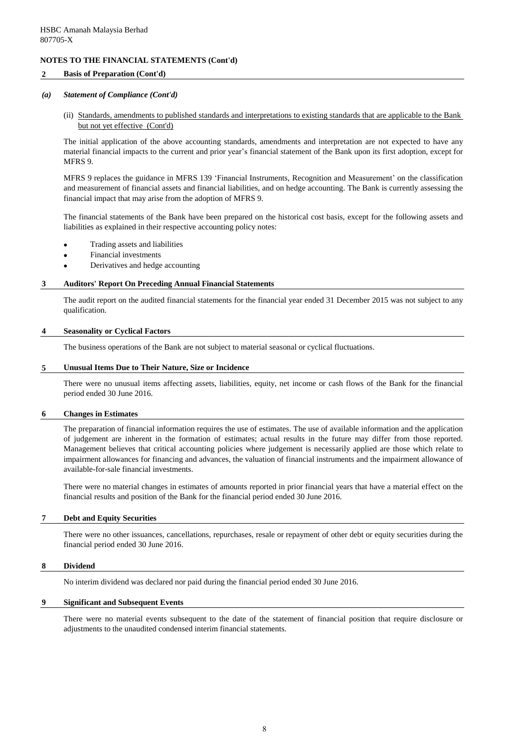#### **2 Basis of Preparation (Cont'd)**

#### *(a) Statement of Compliance (Cont'd)*

(ii) Standards, amendments to published standards and interpretations to existing standards that are applicable to the Bank but not yet effective (Cont'd)

The initial application of the above accounting standards, amendments and interpretation are not expected to have any material financial impacts to the current and prior year's financial statement of the Bank upon its first adoption, except for MFRS 9.

MFRS 9 replaces the guidance in MFRS 139 'Financial Instruments, Recognition and Measurement' on the classification and measurement of financial assets and financial liabilities, and on hedge accounting. The Bank is currently assessing the financial impact that may arise from the adoption of MFRS 9.

The financial statements of the Bank have been prepared on the historical cost basis, except for the following assets and liabilities as explained in their respective accounting policy notes:

- Trading assets and liabilities
- Financial investments
- Derivatives and hedge accounting

#### **3 Auditors' Report On Preceding Annual Financial Statements**

The audit report on the audited financial statements for the financial year ended 31 December 2015 was not subject to any qualification.

#### **4 Seasonality or Cyclical Factors**

The business operations of the Bank are not subject to material seasonal or cyclical fluctuations.

### **5 Unusual Items Due to Their Nature, Size or Incidence**

There were no unusual items affecting assets, liabilities, equity, net income or cash flows of the Bank for the financial period ended 30 June 2016.

#### **6 Changes in Estimates**

The preparation of financial information requires the use of estimates. The use of available information and the application of judgement are inherent in the formation of estimates; actual results in the future may differ from those reported. Management believes that critical accounting policies where judgement is necessarily applied are those which relate to impairment allowances for financing and advances, the valuation of financial instruments and the impairment allowance of available-for-sale financial investments.

There were no material changes in estimates of amounts reported in prior financial years that have a material effect on the financial results and position of the Bank for the financial period ended 30 June 2016.

#### **7 Debt and Equity Securities**

There were no other issuances, cancellations, repurchases, resale or repayment of other debt or equity securities during the financial period ended 30 June 2016.

#### **8 Dividend**

No interim dividend was declared nor paid during the financial period ended 30 June 2016.

#### **9 Significant and Subsequent Events**

There were no material events subsequent to the date of the statement of financial position that require disclosure or adjustments to the unaudited condensed interim financial statements.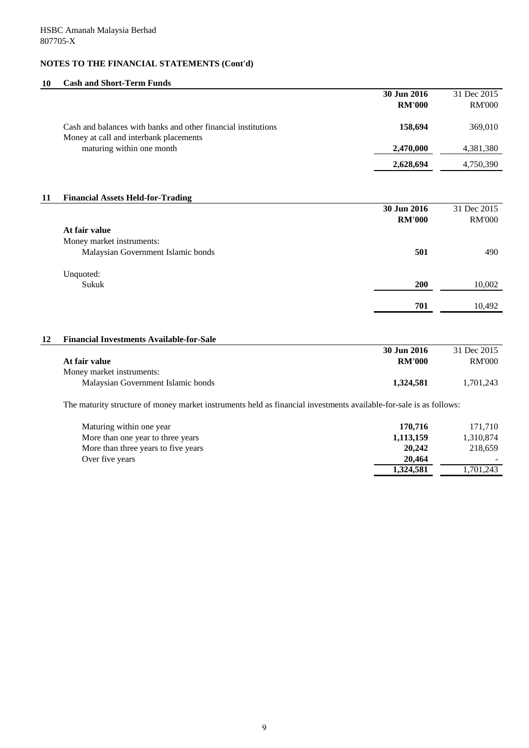# **10 Cash and Short-Term Funds**

|    |                                                                                                                    | 30 Jun 2016                  | 31 Dec 2015                  |
|----|--------------------------------------------------------------------------------------------------------------------|------------------------------|------------------------------|
|    |                                                                                                                    | <b>RM'000</b>                | <b>RM'000</b>                |
|    | Cash and balances with banks and other financial institutions<br>Money at call and interbank placements            | 158,694                      | 369,010                      |
|    | maturing within one month                                                                                          | 2,470,000                    | 4,381,380                    |
|    |                                                                                                                    | 2,628,694                    | 4,750,390                    |
| 11 | <b>Financial Assets Held-for-Trading</b>                                                                           |                              |                              |
|    |                                                                                                                    | 30 Jun 2016<br><b>RM'000</b> | 31 Dec 2015<br><b>RM'000</b> |
|    | At fair value                                                                                                      |                              |                              |
|    | Money market instruments:                                                                                          |                              |                              |
|    | Malaysian Government Islamic bonds                                                                                 | 501                          | 490                          |
|    | Unquoted:                                                                                                          |                              |                              |
|    | Sukuk                                                                                                              | 200                          | 10,002                       |
|    |                                                                                                                    | 701                          | 10,492                       |
| 12 | <b>Financial Investments Available-for-Sale</b>                                                                    |                              |                              |
|    |                                                                                                                    | 30 Jun 2016                  | 31 Dec 2015                  |
|    | At fair value                                                                                                      | <b>RM'000</b>                | <b>RM'000</b>                |
|    | Money market instruments:                                                                                          |                              |                              |
|    | Malaysian Government Islamic bonds                                                                                 | 1,324,581                    | 1,701,243                    |
|    | The maturity structure of money market instruments held as financial investments available-for-sale is as follows: |                              |                              |
|    | Maturing within one year                                                                                           | 170,716                      | 171,710                      |
|    | More than one year to three years                                                                                  | 1,113,159                    | 1,310,874                    |
|    | More than three years to five years                                                                                | 20,242                       | 218,659                      |
|    | Over five years                                                                                                    | 20,464<br>1,324,581          | 1,701,243                    |
|    |                                                                                                                    |                              |                              |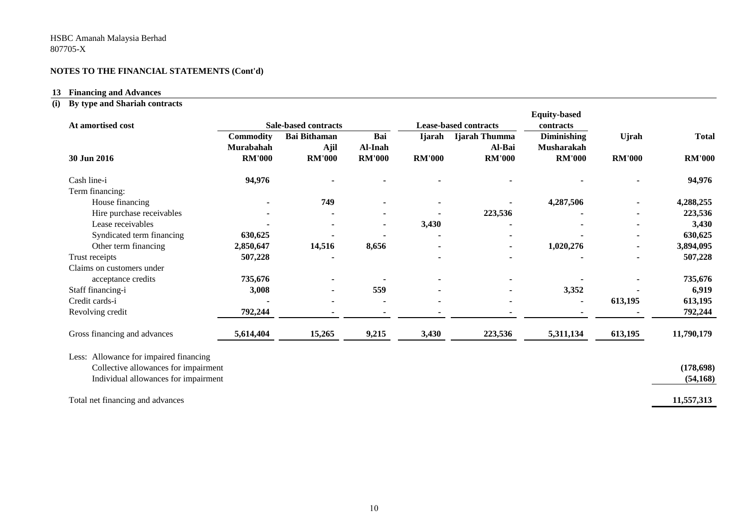#### **13 Financing and Advances**

#### **(i) By type and Shariah contracts**

|                                        |                             |                     |               |                              |                | <b>Equity-based</b> |               |               |
|----------------------------------------|-----------------------------|---------------------|---------------|------------------------------|----------------|---------------------|---------------|---------------|
| At amortised cost                      | <b>Sale-based contracts</b> |                     |               | <b>Lease-based contracts</b> | contracts      |                     |               |               |
|                                        | <b>Commodity</b>            | <b>Bai Bithaman</b> | Bai           | <b>I</b> jarah               | Ijarah Thumma  | <b>Diminishing</b>  | <b>Ujrah</b>  | <b>Total</b>  |
|                                        | <b>Murabahah</b>            | Ajil                | Al-Inah       |                              | Al-Bai         | <b>Musharakah</b>   |               |               |
| 30 Jun 2016                            | <b>RM'000</b>               | <b>RM'000</b>       | <b>RM'000</b> | <b>RM'000</b>                | <b>RM'000</b>  | <b>RM'000</b>       | <b>RM'000</b> | <b>RM'000</b> |
| Cash line-i                            | 94,976                      |                     |               |                              |                |                     |               | 94,976        |
| Term financing:                        |                             |                     |               |                              |                |                     |               |               |
| House financing                        |                             | 749                 |               |                              |                | 4,287,506           |               | 4,288,255     |
| Hire purchase receivables              |                             |                     |               |                              | 223,536        |                     |               | 223,536       |
| Lease receivables                      |                             |                     |               | 3,430                        |                |                     |               | 3,430         |
| Syndicated term financing              | 630,625                     |                     |               |                              |                |                     |               | 630,625       |
| Other term financing                   | 2,850,647                   | 14,516              | 8,656         |                              |                | 1,020,276           |               | 3,894,095     |
| Trust receipts                         | 507,228                     |                     |               |                              |                |                     |               | 507,228       |
| Claims on customers under              |                             |                     |               |                              |                |                     |               |               |
| acceptance credits                     | 735,676                     |                     |               |                              |                |                     |               | 735,676       |
| Staff financing-i                      | 3,008                       |                     | 559           |                              |                | 3,352               |               | 6,919         |
| Credit cards-i                         |                             |                     |               |                              | $\blacksquare$ |                     | 613,195       | 613,195       |
| Revolving credit                       | 792,244                     |                     |               |                              |                |                     |               | 792,244       |
| Gross financing and advances           | 5,614,404                   | 15,265              | 9,215         | 3,430                        | 223,536        | 5,311,134           | 613,195       | 11,790,179    |
| Less: Allowance for impaired financing |                             |                     |               |                              |                |                     |               |               |
| Collective allowances for impairment   |                             |                     |               |                              |                |                     |               | (178, 698)    |
| Individual allowances for impairment   |                             |                     |               |                              |                |                     |               | (54, 168)     |
|                                        |                             |                     |               |                              |                |                     |               |               |
| Total net financing and advances       |                             |                     |               |                              |                |                     |               | 11,557,313    |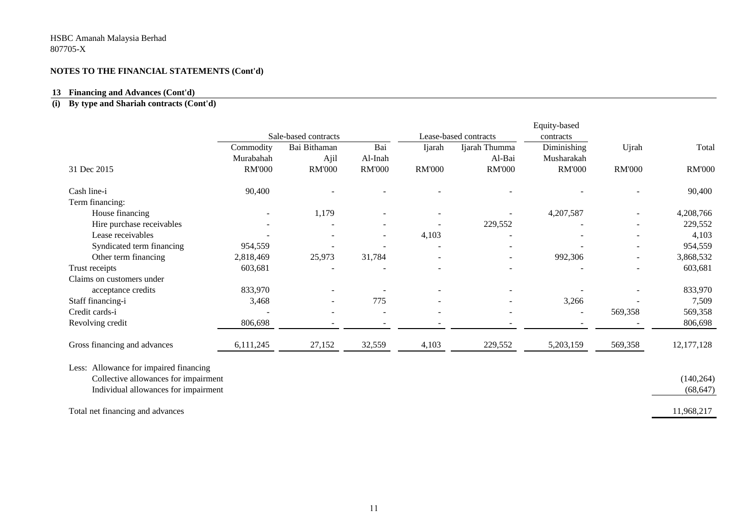#### **13 Financing and Advances (Cont'd)**

#### **(i) By type and Shariah contracts (Cont'd)**

|                                        |               | Sale-based contracts                                                                                |               |                          |                          | Equity-based  |               |               |
|----------------------------------------|---------------|-----------------------------------------------------------------------------------------------------|---------------|--------------------------|--------------------------|---------------|---------------|---------------|
|                                        | Commodity     | Lease-based contracts<br>contracts<br>Diminishing<br>Bai<br>Bai Bithaman<br>Ijarah Thumma<br>Ijarah |               | Ujrah                    | Total                    |               |               |               |
|                                        | Murabahah     | Ajil                                                                                                | Al-Inah       |                          | Al-Bai                   | Musharakah    |               |               |
| 31 Dec 2015                            | <b>RM'000</b> | <b>RM'000</b>                                                                                       | <b>RM'000</b> | <b>RM'000</b>            | <b>RM'000</b>            | <b>RM'000</b> | <b>RM'000</b> | <b>RM'000</b> |
| Cash line-i                            | 90,400        |                                                                                                     |               |                          |                          |               |               | 90,400        |
| Term financing:                        |               |                                                                                                     |               |                          |                          |               |               |               |
| House financing                        |               | 1,179                                                                                               |               |                          |                          | 4,207,587     |               | 4,208,766     |
| Hire purchase receivables              |               |                                                                                                     |               |                          | 229,552                  |               |               | 229,552       |
| Lease receivables                      |               |                                                                                                     |               | 4,103                    |                          |               |               | 4,103         |
| Syndicated term financing              | 954,559       |                                                                                                     |               |                          |                          |               |               | 954,559       |
| Other term financing                   | 2,818,469     | 25,973                                                                                              | 31,784        |                          | $\overline{\phantom{a}}$ | 992,306       |               | 3,868,532     |
| Trust receipts                         | 603,681       |                                                                                                     |               |                          |                          |               |               | 603,681       |
| Claims on customers under              |               |                                                                                                     |               |                          |                          |               |               |               |
| acceptance credits                     | 833,970       |                                                                                                     |               |                          |                          |               |               | 833,970       |
| Staff financing-i                      | 3,468         |                                                                                                     | 775           |                          |                          | 3,266         |               | 7,509         |
| Credit cards-i                         |               |                                                                                                     |               | $\overline{\phantom{a}}$ |                          |               | 569,358       | 569,358       |
| Revolving credit                       | 806,698       |                                                                                                     |               |                          |                          |               |               | 806,698       |
| Gross financing and advances           | 6,111,245     | 27,152                                                                                              | 32,559        | 4,103                    | 229,552                  | 5,203,159     | 569,358       | 12, 177, 128  |
| Less: Allowance for impaired financing |               |                                                                                                     |               |                          |                          |               |               |               |
| Collective allowances for impairment   |               |                                                                                                     |               |                          |                          |               |               | (140, 264)    |
| Individual allowances for impairment   |               |                                                                                                     |               |                          |                          |               |               | (68, 647)     |
| Total net financing and advances       |               |                                                                                                     |               |                          |                          |               |               | 11,968,217    |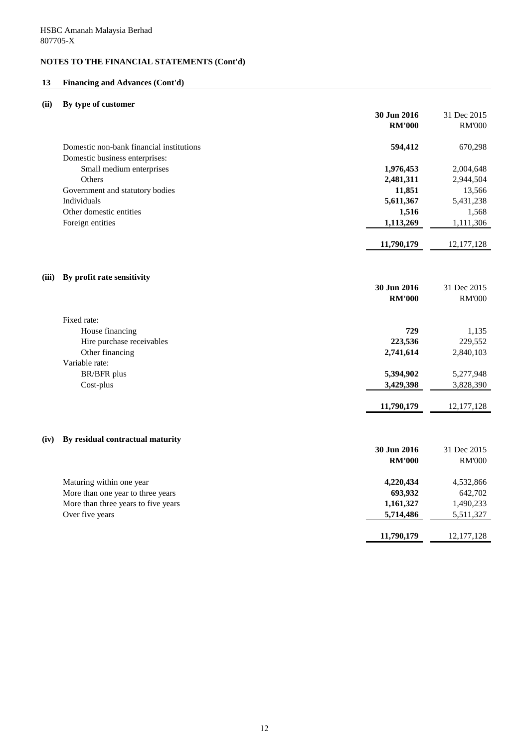# **13 Financing and Advances (Cont'd)**

# **(ii) By type of customer**

|       |                                          | 30 Jun 2016   | 31 Dec 2015   |
|-------|------------------------------------------|---------------|---------------|
|       |                                          | <b>RM'000</b> | <b>RM'000</b> |
|       | Domestic non-bank financial institutions | 594,412       | 670,298       |
|       | Domestic business enterprises:           |               |               |
|       | Small medium enterprises                 | 1,976,453     | 2,004,648     |
|       | Others                                   | 2,481,311     | 2,944,504     |
|       | Government and statutory bodies          | 11,851        | 13,566        |
|       | Individuals                              | 5,611,367     | 5,431,238     |
|       | Other domestic entities                  | 1,516         | 1,568         |
|       | Foreign entities                         | 1,113,269     | 1,111,306     |
|       |                                          | 11,790,179    | 12, 177, 128  |
| (iii) | By profit rate sensitivity               |               |               |
|       |                                          | 30 Jun 2016   | 31 Dec 2015   |
|       |                                          | <b>RM'000</b> | <b>RM'000</b> |
|       | Fixed rate:                              |               |               |
|       | House financing                          | 729           | 1,135         |
|       | Hire purchase receivables                | 223,536       | 229,552       |
|       | Other financing                          | 2,741,614     | 2,840,103     |
|       | Variable rate:                           |               |               |
|       | <b>BR/BFR</b> plus                       | 5,394,902     | 5,277,948     |
|       | Cost-plus                                | 3,429,398     | 3,828,390     |
|       |                                          | 11,790,179    | 12, 177, 128  |
| (iv)  | By residual contractual maturity         |               |               |
|       |                                          | 30 Jun 2016   | 31 Dec 2015   |
|       |                                          | <b>RM'000</b> | <b>RM'000</b> |
|       | Maturing within one year                 | 4,220,434     | 4,532,866     |
|       | More than one year to three years        | 693,932       | 642,702       |
|       | More than three years to five years      | 1,161,327     | 1,490,233     |
|       | Over five years                          | 5,714,486     | 5,511,327     |
|       |                                          | 11,790,179    | 12, 177, 128  |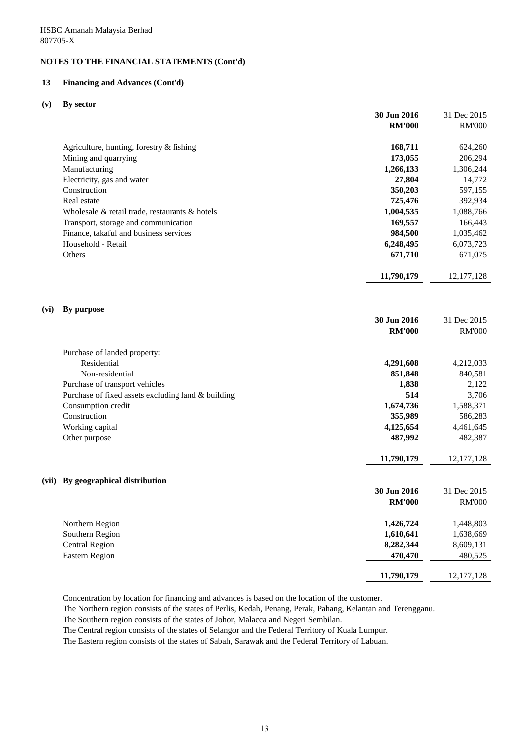## **13 Financing and Advances (Cont'd)**

#### **(v) By sector**

|       |                                                      | 30 Jun 2016   | 31 Dec 2015   |
|-------|------------------------------------------------------|---------------|---------------|
|       |                                                      | <b>RM'000</b> | <b>RM'000</b> |
|       | Agriculture, hunting, forestry & fishing             | 168,711       | 624,260       |
|       | Mining and quarrying                                 | 173,055       | 206,294       |
|       | Manufacturing                                        | 1,266,133     | 1,306,244     |
|       | Electricity, gas and water                           | 27,804        | 14,772        |
|       | Construction                                         | 350,203       | 597,155       |
|       | Real estate                                          | 725,476       | 392,934       |
|       | Wholesale $\&$ retail trade, restaurants $\&$ hotels | 1,004,535     | 1,088,766     |
|       | Transport, storage and communication                 | 169,557       | 166,443       |
|       | Finance, takaful and business services               | 984,500       | 1,035,462     |
|       | Household - Retail                                   | 6,248,495     | 6,073,723     |
|       | Others                                               | 671,710       | 671,075       |
|       |                                                      |               |               |
|       |                                                      | 11,790,179    | 12, 177, 128  |
|       |                                                      |               |               |
| (vi)  | By purpose                                           |               |               |
|       |                                                      | 30 Jun 2016   | 31 Dec 2015   |
|       |                                                      | <b>RM'000</b> | <b>RM'000</b> |
|       |                                                      |               |               |
|       | Purchase of landed property:                         |               |               |
|       | Residential                                          | 4,291,608     | 4,212,033     |
|       | Non-residential                                      | 851,848       | 840,581       |
|       | Purchase of transport vehicles                       | 1,838         | 2,122         |
|       | Purchase of fixed assets excluding land & building   | 514           | 3,706         |
|       | Consumption credit                                   | 1,674,736     | 1,588,371     |
|       | Construction                                         | 355,989       | 586,283       |
|       | Working capital                                      | 4,125,654     | 4,461,645     |
|       | Other purpose                                        | 487,992       | 482,387       |
|       |                                                      | 11,790,179    | 12, 177, 128  |
|       |                                                      |               |               |
| (vii) | By geographical distribution                         |               |               |
|       |                                                      | 30 Jun 2016   | 31 Dec 2015   |
|       |                                                      | <b>RM'000</b> | <b>RM'000</b> |
|       |                                                      |               |               |
|       | Northern Region                                      | 1,426,724     | 1,448,803     |
|       | Southern Region                                      | 1,610,641     | 1,638,669     |
|       | <b>Central Region</b>                                | 8,282,344     | 8,609,131     |
|       | <b>Eastern Region</b>                                | 470,470       | 480,525       |
|       |                                                      | 11,790,179    | 12, 177, 128  |
|       |                                                      |               |               |

Concentration by location for financing and advances is based on the location of the customer.

The Northern region consists of the states of Perlis, Kedah, Penang, Perak, Pahang, Kelantan and Terengganu.

The Southern region consists of the states of Johor, Malacca and Negeri Sembilan.

The Central region consists of the states of Selangor and the Federal Territory of Kuala Lumpur.

The Eastern region consists of the states of Sabah, Sarawak and the Federal Territory of Labuan.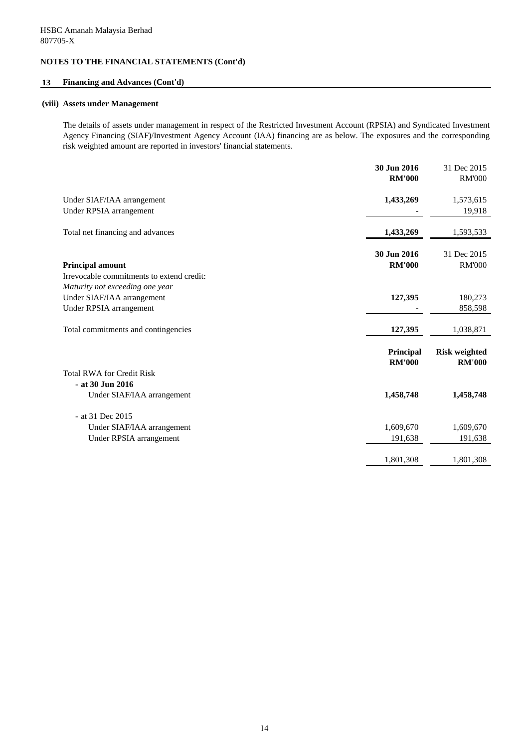# **13 Financing and Advances (Cont'd)**

#### **(viii) Assets under Management**

The details of assets under management in respect of the Restricted Investment Account (RPSIA) and Syndicated Investment Agency Financing (SIAF)/Investment Agency Account (IAA) financing are as below. The exposures and the corresponding risk weighted amount are reported in investors' financial statements.

|                                                                      | 30 Jun 2016<br><b>RM'000</b> | 31 Dec 2015<br><b>RM'000</b>          |
|----------------------------------------------------------------------|------------------------------|---------------------------------------|
| Under SIAF/IAA arrangement<br>Under RPSIA arrangement                | 1,433,269                    | 1,573,615<br>19,918                   |
| Total net financing and advances                                     | 1,433,269                    | 1,593,533                             |
| <b>Principal amount</b><br>Irrevocable commitments to extend credit: | 30 Jun 2016<br><b>RM'000</b> | 31 Dec 2015<br><b>RM'000</b>          |
| Maturity not exceeding one year                                      |                              |                                       |
| Under SIAF/IAA arrangement                                           | 127,395                      | 180,273                               |
| Under RPSIA arrangement                                              |                              | 858,598                               |
| Total commitments and contingencies                                  | 127,395                      | 1,038,871                             |
|                                                                      | Principal<br><b>RM'000</b>   | <b>Risk weighted</b><br><b>RM'000</b> |
| <b>Total RWA for Credit Risk</b>                                     |                              |                                       |
| $-$ at 30 Jun 2016                                                   |                              |                                       |
| Under SIAF/IAA arrangement                                           | 1,458,748                    | 1,458,748                             |
| - at 31 Dec 2015                                                     |                              |                                       |
| Under SIAF/IAA arrangement                                           | 1,609,670                    | 1,609,670                             |
| Under RPSIA arrangement                                              | 191,638                      | 191,638                               |
|                                                                      | 1,801,308                    | 1,801,308                             |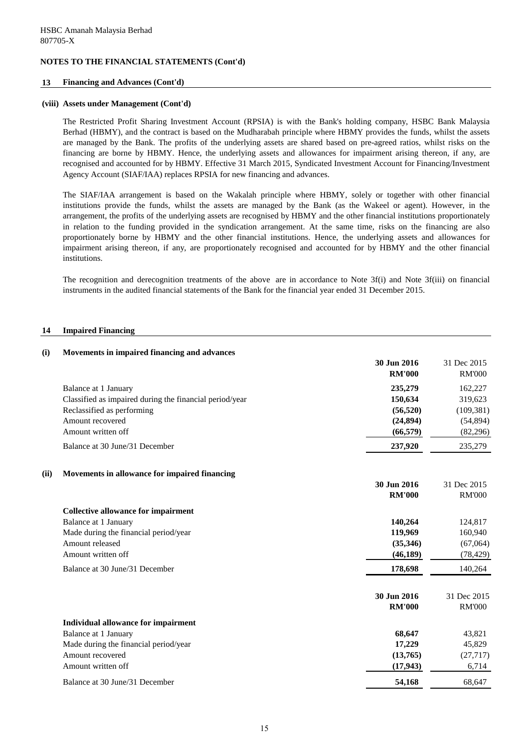### **13 Financing and Advances (Cont'd)**

#### **(viii) Assets under Management (Cont'd)**

The Restricted Profit Sharing Investment Account (RPSIA) is with the Bank's holding company, HSBC Bank Malaysia Berhad (HBMY), and the contract is based on the Mudharabah principle where HBMY provides the funds, whilst the assets are managed by the Bank. The profits of the underlying assets are shared based on pre-agreed ratios, whilst risks on the financing are borne by HBMY. Hence, the underlying assets and allowances for impairment arising thereon, if any, are recognised and accounted for by HBMY. Effective 31 March 2015, Syndicated Investment Account for Financing/Investment Agency Account (SIAF/IAA) replaces RPSIA for new financing and advances.

The SIAF/IAA arrangement is based on the Wakalah principle where HBMY, solely or together with other financial institutions provide the funds, whilst the assets are managed by the Bank (as the Wakeel or agent). However, in the arrangement, the profits of the underlying assets are recognised by HBMY and the other financial institutions proportionately in relation to the funding provided in the syndication arrangement. At the same time, risks on the financing are also proportionately borne by HBMY and the other financial institutions. Hence, the underlying assets and allowances for impairment arising thereon, if any, are proportionately recognised and accounted for by HBMY and the other financial institutions.

The recognition and derecognition treatments of the above are in accordance to Note 3f(i) and Note 3f(iii) on financial instruments in the audited financial statements of the Bank for the financial year ended 31 December 2015.

#### **14 Impaired Financing**

| (i)  | Movements in impaired financing and advances                                                                                                                |                                              |                                               |
|------|-------------------------------------------------------------------------------------------------------------------------------------------------------------|----------------------------------------------|-----------------------------------------------|
|      |                                                                                                                                                             | 30 Jun 2016<br><b>RM'000</b>                 | 31 Dec 2015<br><b>RM'000</b>                  |
|      | Balance at 1 January<br>Classified as impaired during the financial period/year<br>Reclassified as performing<br>Amount recovered                           | 235,279<br>150,634<br>(56, 520)<br>(24, 894) | 162,227<br>319,623<br>(109, 381)<br>(54, 894) |
|      | Amount written off<br>Balance at 30 June/31 December                                                                                                        | (66, 579)<br>237,920                         | (82, 296)<br>235,279                          |
| (ii) | Movements in allowance for impaired financing                                                                                                               | 30 Jun 2016<br><b>RM'000</b>                 | 31 Dec 2015<br><b>RM'000</b>                  |
|      | <b>Collective allowance for impairment</b><br><b>Balance at 1 January</b><br>Made during the financial period/year<br>Amount released<br>Amount written off | 140,264<br>119,969<br>(35,346)<br>(46, 189)  | 124,817<br>160,940<br>(67,064)<br>(78, 429)   |
|      | Balance at 30 June/31 December                                                                                                                              | 178,698                                      | 140,264                                       |
|      |                                                                                                                                                             | 30 Jun 2016<br><b>RM'000</b>                 | 31 Dec 2015<br><b>RM'000</b>                  |
|      | Individual allowance for impairment<br><b>Balance at 1 January</b><br>Made during the financial period/year<br>Amount recovered<br>Amount written off       | 68,647<br>17,229<br>(13,765)<br>(17, 943)    | 43,821<br>45,829<br>(27, 717)<br>6,714        |
|      | Balance at 30 June/31 December                                                                                                                              | 54,168                                       | 68,647                                        |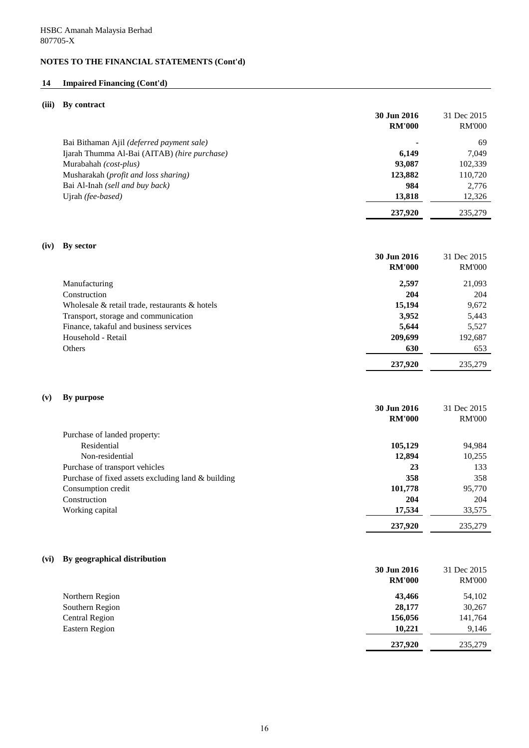# **14 Impaired Financing (Cont'd)**

# **(iii) By contract**

| (III) | Dy contract                                        | 30 Jun 2016<br><b>RM'000</b> | 31 Dec 2015<br><b>RM'000</b> |
|-------|----------------------------------------------------|------------------------------|------------------------------|
|       | Bai Bithaman Ajil (deferred payment sale)          |                              | 69                           |
|       | Ijarah Thumma Al-Bai (AITAB) (hire purchase)       | 6,149                        | 7,049                        |
|       | Murabahah (cost-plus)                              | 93,087                       | 102,339                      |
|       | Musharakah (profit and loss sharing)               | 123,882                      | 110,720                      |
|       | Bai Al-Inah (sell and buy back)                    | 984                          | 2,776                        |
|       | Ujrah (fee-based)                                  | 13,818                       | 12,326                       |
|       |                                                    | 237,920                      | 235,279                      |
| (iv)  | By sector                                          |                              |                              |
|       |                                                    | 30 Jun 2016                  | 31 Dec 2015                  |
|       |                                                    | <b>RM'000</b>                | <b>RM'000</b>                |
|       | Manufacturing                                      | 2,597                        | 21,093                       |
|       | Construction                                       | 204                          | 204                          |
|       | Wholesale & retail trade, restaurants & hotels     | 15,194                       | 9,672                        |
|       | Transport, storage and communication               | 3,952                        | 5,443                        |
|       | Finance, takaful and business services             | 5,644                        | 5,527                        |
|       | Household - Retail                                 | 209,699                      | 192,687                      |
|       | Others                                             | 630                          | 653                          |
|       |                                                    | 237,920                      | 235,279                      |
| (v)   | By purpose                                         |                              |                              |
|       |                                                    | 30 Jun 2016                  | 31 Dec 2015                  |
|       |                                                    | <b>RM'000</b>                | <b>RM'000</b>                |
|       | Purchase of landed property:                       |                              |                              |
|       | Residential                                        | 105,129                      | 94,984                       |
|       | Non-residential                                    | 12,894                       | 10,255                       |
|       | Purchase of transport vehicles                     | 23                           | 133                          |
|       | Purchase of fixed assets excluding land & building | 358                          | 358                          |
|       | Consumption credit                                 | 101,778                      | 95,770                       |
|       | Construction                                       | 204                          | 204                          |
|       | Working capital                                    | 17,534                       | 33,575                       |
|       |                                                    | 237,920                      | 235,279                      |
| (vi)  | By geographical distribution                       |                              |                              |
|       |                                                    | 30 Jun 2016                  | 31 Dec 2015                  |
|       |                                                    | <b>RM'000</b>                | <b>RM'000</b>                |

| Northern Region       | 43,466  | 54,102  |
|-----------------------|---------|---------|
| Southern Region       | 28,177  | 30,267  |
| <b>Central Region</b> | 156,056 | 141,764 |
| Eastern Region        | 10,221  | 9,146   |
|                       | 237,920 | 235,279 |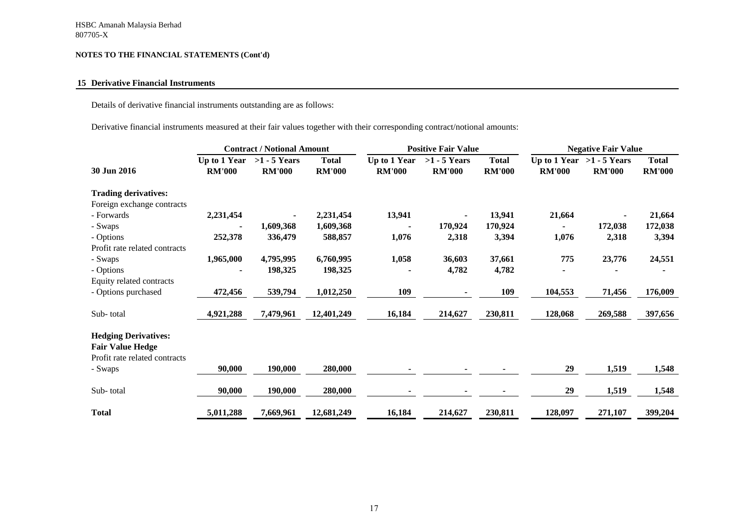## **15 Derivative Financial Instruments**

Details of derivative financial instruments outstanding are as follows:

Derivative financial instruments measured at their fair values together with their corresponding contract/notional amounts:

|                               | <b>Contract / Notional Amount</b> |                                 |                               | <b>Positive Fair Value</b>    |                                 |                               | <b>Negative Fair Value</b> |                                              |                               |
|-------------------------------|-----------------------------------|---------------------------------|-------------------------------|-------------------------------|---------------------------------|-------------------------------|----------------------------|----------------------------------------------|-------------------------------|
| 30 Jun 2016                   | Up to 1 Year<br><b>RM'000</b>     | $>1 - 5$ Years<br><b>RM'000</b> | <b>Total</b><br><b>RM'000</b> | Up to 1 Year<br><b>RM'000</b> | $>1 - 5$ Years<br><b>RM'000</b> | <b>Total</b><br><b>RM'000</b> | <b>RM'000</b>              | Up to 1 Year $>1$ - 5 Years<br><b>RM'000</b> | <b>Total</b><br><b>RM'000</b> |
| <b>Trading derivatives:</b>   |                                   |                                 |                               |                               |                                 |                               |                            |                                              |                               |
| Foreign exchange contracts    |                                   |                                 |                               |                               |                                 |                               |                            |                                              |                               |
| - Forwards                    | 2,231,454                         |                                 | 2,231,454                     | 13,941                        |                                 | 13,941                        | 21,664                     |                                              | 21,664                        |
| - Swaps                       |                                   | 1,609,368                       | 1,609,368                     |                               | 170,924                         | 170,924                       | $\blacksquare$             | 172,038                                      | 172,038                       |
| - Options                     | 252,378                           | 336,479                         | 588,857                       | 1,076                         | 2,318                           | 3,394                         | 1,076                      | 2,318                                        | 3,394                         |
| Profit rate related contracts |                                   |                                 |                               |                               |                                 |                               |                            |                                              |                               |
| - Swaps                       | 1,965,000                         | 4,795,995                       | 6,760,995                     | 1,058                         | 36,603                          | 37,661                        | 775                        | 23,776                                       | 24,551                        |
| - Options                     |                                   | 198,325                         | 198,325                       |                               | 4,782                           | 4,782                         |                            |                                              |                               |
| Equity related contracts      |                                   |                                 |                               |                               |                                 |                               |                            |                                              |                               |
| - Options purchased           | 472,456                           | 539,794                         | 1,012,250                     | 109                           |                                 | 109                           | 104,553                    | 71,456                                       | 176,009                       |
| Sub-total                     | 4,921,288                         | 7,479,961                       | 12,401,249                    | 16,184                        | 214,627                         | 230,811                       | 128,068                    | 269,588                                      | 397,656                       |
| <b>Hedging Derivatives:</b>   |                                   |                                 |                               |                               |                                 |                               |                            |                                              |                               |
| <b>Fair Value Hedge</b>       |                                   |                                 |                               |                               |                                 |                               |                            |                                              |                               |
| Profit rate related contracts |                                   |                                 |                               |                               |                                 |                               |                            |                                              |                               |
| - Swaps                       | 90,000                            | 190,000                         | 280,000                       |                               |                                 |                               | 29                         | 1,519                                        | 1,548                         |
| Sub-total                     | 90,000                            | 190,000                         | 280,000                       |                               |                                 |                               | 29                         | 1,519                                        | 1,548                         |
| <b>Total</b>                  | 5,011,288                         | 7,669,961                       | 12,681,249                    | 16,184                        | 214,627                         | 230,811                       | 128,097                    | 271,107                                      | 399,204                       |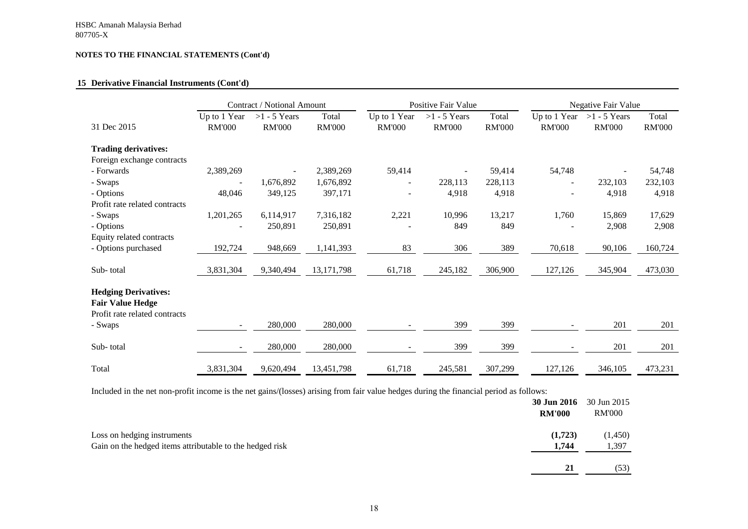## **15 Derivative Financial Instruments (Cont'd)**

|                                                                                         |                               | <b>Contract / Notional Amount</b> |                        | <b>Positive Fair Value</b>    |                                 |                        | <b>Negative Fair Value</b>    |                                 |                        |
|-----------------------------------------------------------------------------------------|-------------------------------|-----------------------------------|------------------------|-------------------------------|---------------------------------|------------------------|-------------------------------|---------------------------------|------------------------|
| 31 Dec 2015                                                                             | Up to 1 Year<br><b>RM'000</b> | $>1 - 5$ Years<br><b>RM'000</b>   | Total<br><b>RM'000</b> | Up to 1 Year<br><b>RM'000</b> | $>1 - 5$ Years<br><b>RM'000</b> | Total<br><b>RM'000</b> | Up to 1 Year<br><b>RM'000</b> | $>1 - 5$ Years<br><b>RM'000</b> | Total<br><b>RM'000</b> |
| <b>Trading derivatives:</b>                                                             |                               |                                   |                        |                               |                                 |                        |                               |                                 |                        |
| Foreign exchange contracts                                                              |                               |                                   |                        |                               |                                 |                        |                               |                                 |                        |
| - Forwards                                                                              | 2,389,269                     |                                   | 2,389,269              | 59,414                        |                                 | 59,414                 | 54,748                        |                                 | 54,748                 |
| - Swaps                                                                                 |                               | 1,676,892                         | 1,676,892              | $\overline{\phantom{a}}$      | 228,113                         | 228,113                | $\overline{\phantom{a}}$      | 232,103                         | 232,103                |
| - Options                                                                               | 48,046                        | 349,125                           | 397,171                |                               | 4,918                           | 4,918                  |                               | 4,918                           | 4,918                  |
| Profit rate related contracts                                                           |                               |                                   |                        |                               |                                 |                        |                               |                                 |                        |
| - Swaps                                                                                 | 1,201,265                     | 6,114,917                         | 7,316,182              | 2,221                         | 10,996                          | 13,217                 | 1,760                         | 15,869                          | 17,629                 |
| - Options                                                                               |                               | 250,891                           | 250,891                |                               | 849                             | 849                    |                               | 2,908                           | 2,908                  |
| Equity related contracts                                                                |                               |                                   |                        |                               |                                 |                        |                               |                                 |                        |
| - Options purchased                                                                     | 192,724                       | 948,669                           | 1,141,393              | 83                            | 306                             | 389                    | 70,618                        | 90,106                          | 160,724                |
|                                                                                         |                               |                                   |                        |                               |                                 |                        |                               |                                 |                        |
| Sub-total                                                                               | 3,831,304                     | 9,340,494                         | 13, 171, 798           | 61,718                        | 245,182                         | 306,900                | 127,126                       | 345,904                         | 473,030                |
| <b>Hedging Derivatives:</b><br><b>Fair Value Hedge</b><br>Profit rate related contracts |                               |                                   |                        |                               |                                 |                        |                               |                                 |                        |
| - Swaps                                                                                 |                               | 280,000                           | 280,000                |                               | 399                             | 399                    |                               | 201                             | 201                    |
| Sub-total                                                                               |                               | 280,000                           | 280,000                |                               | 399                             | 399                    |                               | 201                             | 201                    |
| Total                                                                                   | 3,831,304                     | 9,620,494                         | 13,451,798             | 61,718                        | 245,581                         | 307,299                | 127,126                       | 346,105                         | 473,231                |

Included in the net non-profit income is the net gains/(losses) arising from fair value hedges during the financial period as follows:

|                                                                                         | 30 Jun 2016<br><b>RM'000</b> | 30 Jun 2015<br><b>RM'000</b> |
|-----------------------------------------------------------------------------------------|------------------------------|------------------------------|
| Loss on hedging instruments<br>Gain on the hedged items attributable to the hedged risk | (1,723)<br>1,744             | (1,450)<br>1,397             |
|                                                                                         | 21                           | (53)                         |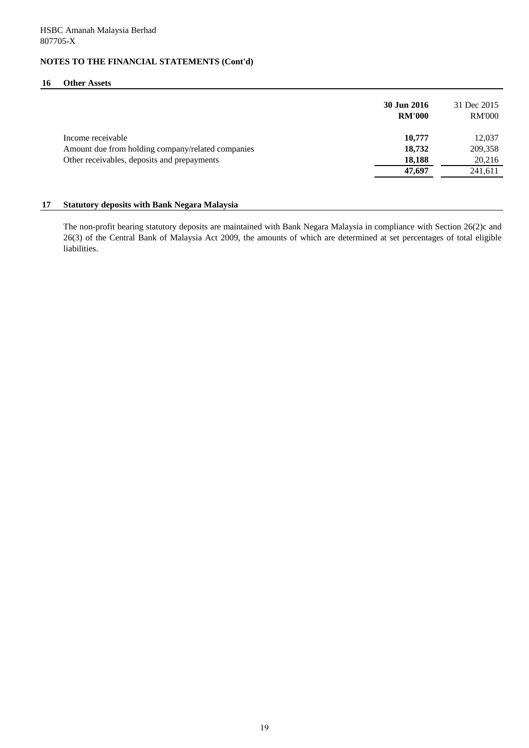#### **16 Other Assets**

|                                                   | 30 Jun 2016<br><b>RM'000</b> | 31 Dec 2015<br><b>RM'000</b> |
|---------------------------------------------------|------------------------------|------------------------------|
| Income receivable                                 | 10,777                       | 12,037                       |
| Amount due from holding company/related companies | 18,732                       | 209,358                      |
| Other receivables, deposits and prepayments       | 18,188                       | 20,216                       |
|                                                   | 47,697                       | 241,611                      |

#### **17 Statutory deposits with Bank Negara Malaysia**

The non-profit bearing statutory deposits are maintained with Bank Negara Malaysia in compliance with Section 26(2)c and 26(3) of the Central Bank of Malaysia Act 2009, the amounts of which are determined at set percentages of total eligible liabilities.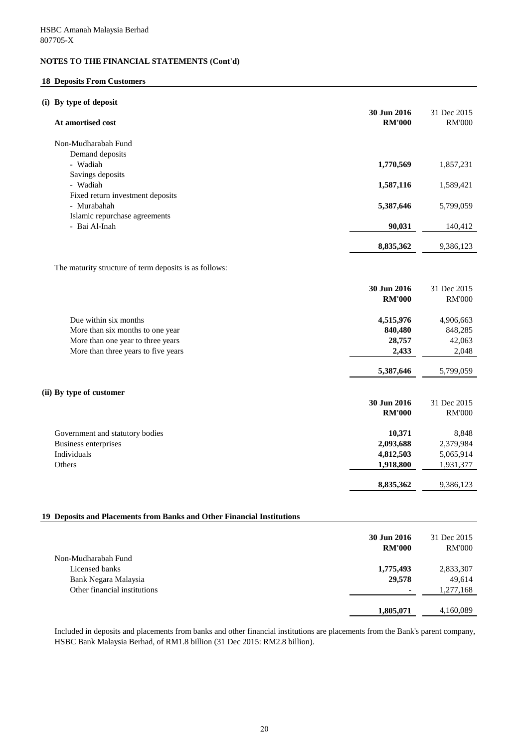#### **18 Deposits From Customers**

### **(i) By type of deposit**

| $\mathbf{v}_j$ vi po or we pool.<br>At amortised cost                    | 30 Jun 2016<br><b>RM'000</b> | 31 Dec 2015<br><b>RM'000</b> |
|--------------------------------------------------------------------------|------------------------------|------------------------------|
| Non-Mudharabah Fund                                                      |                              |                              |
| Demand deposits                                                          |                              |                              |
| - Wadiah                                                                 | 1,770,569                    | 1,857,231                    |
| Savings deposits                                                         |                              |                              |
| - Wadiah                                                                 | 1,587,116                    | 1,589,421                    |
| Fixed return investment deposits<br>- Murabahah                          | 5,387,646                    | 5,799,059                    |
| Islamic repurchase agreements                                            |                              |                              |
| - Bai Al-Inah                                                            | 90,031                       | 140,412                      |
|                                                                          |                              |                              |
|                                                                          | 8,835,362                    | 9,386,123                    |
| The maturity structure of term deposits is as follows:                   |                              |                              |
|                                                                          | 30 Jun 2016                  | 31 Dec 2015                  |
|                                                                          | <b>RM'000</b>                | <b>RM'000</b>                |
|                                                                          |                              |                              |
| Due within six months                                                    | 4,515,976                    | 4,906,663                    |
| More than six months to one year                                         | 840,480<br>28,757            | 848,285                      |
| More than one year to three years<br>More than three years to five years | 2,433                        | 42,063<br>2,048              |
|                                                                          |                              |                              |
|                                                                          | 5,387,646                    | 5,799,059                    |
| (ii) By type of customer                                                 |                              |                              |
|                                                                          | 30 Jun 2016                  | 31 Dec 2015                  |
|                                                                          | <b>RM'000</b>                | <b>RM'000</b>                |
| Government and statutory bodies                                          | 10,371                       | 8,848                        |
| Business enterprises                                                     | 2,093,688                    | 2,379,984                    |
| Individuals                                                              | 4,812,503                    | 5,065,914                    |
| Others                                                                   | 1,918,800                    | 1,931,377                    |
|                                                                          | 8,835,362                    | 9,386,123                    |
|                                                                          |                              |                              |
| 19 Deposits and Placements from Banks and Other Financial Institutions   |                              |                              |
|                                                                          | 30 Jun 2016                  | 31 Dec 2015                  |
|                                                                          | <b>RM'000</b>                | <b>RM'000</b>                |
| Non-Mudharabah Fund                                                      |                              |                              |
| Licensed banks                                                           | 1,775,493                    | 2,833,307                    |
| Bank Negara Malaysia                                                     | 29,578                       | 49,614                       |
| Other financial institutions                                             |                              | 1,277,168                    |
|                                                                          | 1,805,071                    | 4,160,089                    |

Included in deposits and placements from banks and other financial institutions are placements from the Bank's parent company, HSBC Bank Malaysia Berhad, of RM1.8 billion (31 Dec 2015: RM2.8 billion).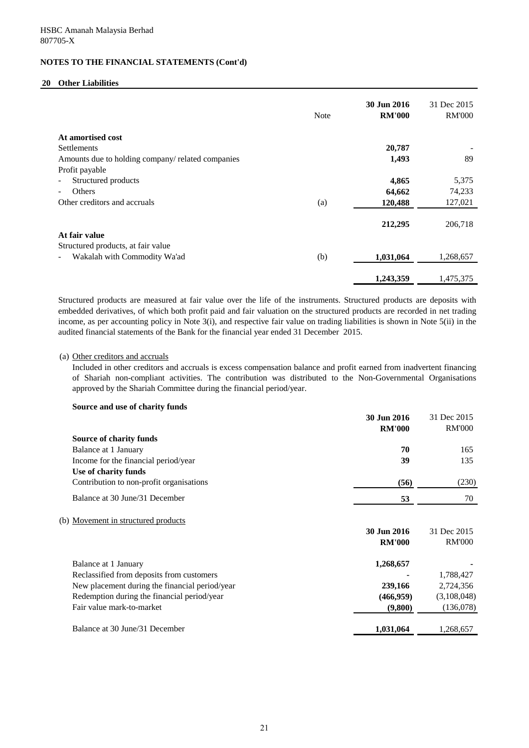#### **20 Other Liabilities**

|                                                   | <b>Note</b> | 30 Jun 2016<br><b>RM'000</b> | 31 Dec 2015<br><b>RM'000</b> |
|---------------------------------------------------|-------------|------------------------------|------------------------------|
| At amortised cost                                 |             |                              |                              |
| <b>Settlements</b>                                |             | 20,787                       |                              |
| Amounts due to holding company/ related companies |             | 1,493                        | 89                           |
| Profit payable                                    |             |                              |                              |
| Structured products                               |             | 4,865                        | 5,375                        |
| Others                                            |             | 64,662                       | 74,233                       |
| Other creditors and accruals                      | (a)         | 120,488                      | 127,021                      |
|                                                   |             | 212,295                      | 206,718                      |
| At fair value                                     |             |                              |                              |
| Structured products, at fair value                |             |                              |                              |
| Wakalah with Commodity Wa'ad                      | (b)         | 1,031,064                    | 1,268,657                    |
|                                                   |             | 1,243,359                    | 1,475,375                    |
|                                                   |             |                              |                              |

Structured products are measured at fair value over the life of the instruments. Structured products are deposits with embedded derivatives, of which both profit paid and fair valuation on the structured products are recorded in net trading income, as per accounting policy in Note 3(i), and respective fair value on trading liabilities is shown in Note 5(ii) in the audited financial statements of the Bank for the financial year ended 31 December 2015.

#### (a) Other creditors and accruals

Included in other creditors and accruals is excess compensation balance and profit earned from inadvertent financing of Shariah non-compliant activities. The contribution was distributed to the Non-Governmental Organisations approved by the Shariah Committee during the financial period/year.

#### **Source and use of charity funds**

|                                                | 30 Jun 2016   | 31 Dec 2015   |
|------------------------------------------------|---------------|---------------|
|                                                | <b>RM'000</b> | <b>RM'000</b> |
| <b>Source of charity funds</b>                 |               |               |
| Balance at 1 January                           | 70            | 165           |
| Income for the financial period/year           | 39            | 135           |
| Use of charity funds                           |               |               |
| Contribution to non-profit organisations       | (56)          | (230)         |
| Balance at 30 June/31 December                 | 53            | 70            |
| (b) Movement in structured products            |               |               |
|                                                | 30 Jun 2016   | 31 Dec 2015   |
|                                                | <b>RM'000</b> | <b>RM'000</b> |
| Balance at 1 January                           | 1,268,657     |               |
| Reclassified from deposits from customers      |               | 1,788,427     |
| New placement during the financial period/year | 239,166       | 2,724,356     |
| Redemption during the financial period/year    | (466, 959)    | (3,108,048)   |
| Fair value mark-to-market                      | (9,800)       | (136,078)     |
| Balance at 30 June/31 December                 | 1,031,064     | 1,268,657     |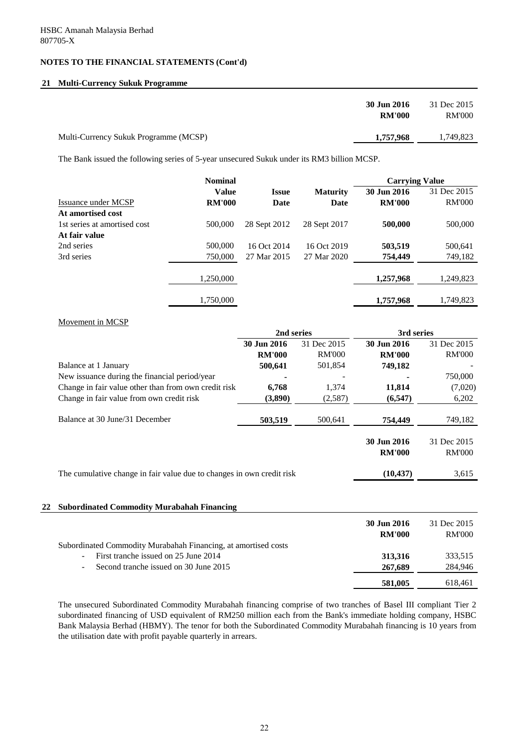### **21 Multi-Currency Sukuk Programme**

|                                       | 30 Jun 2016<br><b>RM'000</b> | 31 Dec 2015<br><b>RM'000</b> |
|---------------------------------------|------------------------------|------------------------------|
| Multi-Currency Sukuk Programme (MCSP) | 1,757,968                    | 1,749,823                    |

The Bank issued the following series of 5-year unsecured Sukuk under its RM3 billion MCSP.

|                              | <b>Nominal</b> |              |                 | <b>Carrying Value</b> |               |  |
|------------------------------|----------------|--------------|-----------------|-----------------------|---------------|--|
|                              | <b>Value</b>   | <b>Issue</b> | <b>Maturity</b> | 30 Jun 2016           | 31 Dec 2015   |  |
| Issuance under MCSP          | <b>RM'000</b>  | Date         | <b>Date</b>     | <b>RM'000</b>         | <b>RM'000</b> |  |
| At amortised cost            |                |              |                 |                       |               |  |
| 1st series at amortised cost | 500,000        | 28 Sept 2012 | 28 Sept 2017    | 500,000               | 500,000       |  |
| At fair value                |                |              |                 |                       |               |  |
| 2nd series                   | 500,000        | 16 Oct 2014  | 16 Oct 2019     | 503,519               | 500,641       |  |
| 3rd series                   | 750,000        | 27 Mar 2015  | 27 Mar 2020     | 754,449               | 749,182       |  |
|                              | 1,250,000      |              |                 | 1,257,968             | 1,249,823     |  |
|                              | 1,750,000      |              |                 | 1,757,968             | 1,749,823     |  |

#### Movement in MCSP

|                                                                       | 2nd series    |               | 3rd series                   |                              |
|-----------------------------------------------------------------------|---------------|---------------|------------------------------|------------------------------|
|                                                                       | 30 Jun 2016   | 31 Dec 2015   | 30 Jun 2016                  | 31 Dec 2015                  |
|                                                                       | <b>RM'000</b> | <b>RM'000</b> | <b>RM'000</b>                | <b>RM'000</b>                |
| Balance at 1 January                                                  | 500,641       | 501,854       | 749,182                      |                              |
| New issuance during the financial period/year                         |               |               |                              | 750,000                      |
| Change in fair value other than from own credit risk                  | 6,768         | 1,374         | 11,814                       | (7,020)                      |
| Change in fair value from own credit risk                             | (3,890)       | (2,587)       | (6, 547)                     | 6,202                        |
| Balance at 30 June/31 December                                        | 503,519       | 500,641       | 754,449                      | 749,182                      |
|                                                                       |               |               | 30 Jun 2016<br><b>RM'000</b> | 31 Dec 2015<br><b>RM'000</b> |
| The cumulative change in fair value due to changes in own credit risk |               |               | (10, 437)                    | 3,615                        |
|                                                                       |               |               |                              |                              |

| 22 Subordinated Commodity Murabahah Financing                  |               |               |
|----------------------------------------------------------------|---------------|---------------|
|                                                                | 30 Jun 2016   | 31 Dec 2015   |
|                                                                | <b>RM'000</b> | <b>RM'000</b> |
| Subordinated Commodity Murabahah Financing, at amortised costs |               |               |
| First tranche issued on 25 June 2014<br>$\sim$                 | 313,316       | 333,515       |
| Second tranche issued on 30 June 2015<br>$\sim$                | 267,689       | 284,946       |
|                                                                | 581,005       | 618,461       |

The unsecured Subordinated Commodity Murabahah financing comprise of two tranches of Basel III compliant Tier 2 subordinated financing of USD equivalent of RM250 million each from the Bank's immediate holding company, HSBC Bank Malaysia Berhad (HBMY). The tenor for both the Subordinated Commodity Murabahah financing is 10 years from the utilisation date with profit payable quarterly in arrears.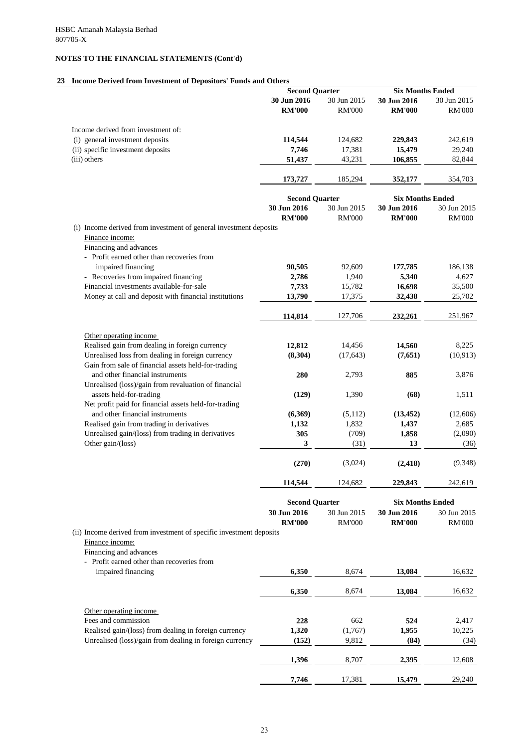## **23 Income Derived from Investment of Depositors' Funds and Others**

|                                                                          | <b>Second Quarter</b>                |                              | <b>Six Months Ended</b>                |                              |
|--------------------------------------------------------------------------|--------------------------------------|------------------------------|----------------------------------------|------------------------------|
|                                                                          | 30 Jun 2016                          | 30 Jun 2015                  | 30 Jun 2016                            | 30 Jun 2015                  |
|                                                                          | <b>RM'000</b>                        | <b>RM'000</b>                | <b>RM'000</b>                          | <b>RM'000</b>                |
| Income derived from investment of:                                       |                                      |                              |                                        |                              |
| (i) general investment deposits                                          | 114,544                              | 124,682                      | 229,843                                | 242,619                      |
| (ii) specific investment deposits                                        | 7,746                                | 17,381                       | 15,479                                 | 29,240                       |
| (iii) others                                                             | 51,437                               | 43,231                       | 106,855                                | 82,844                       |
|                                                                          | 173,727                              | 185,294                      | 352,177                                | 354,703                      |
|                                                                          |                                      |                              |                                        |                              |
|                                                                          | <b>Second Quarter</b>                |                              | <b>Six Months Ended</b>                |                              |
|                                                                          | 30 Jun 2016                          | 30 Jun 2015                  | 30 Jun 2016                            | 30 Jun 2015                  |
|                                                                          | <b>RM'000</b>                        | <b>RM'000</b>                | <b>RM'000</b>                          | <b>RM'000</b>                |
| (i) Income derived from investment of general investment deposits        |                                      |                              |                                        |                              |
| Finance income:                                                          |                                      |                              |                                        |                              |
| Financing and advances<br>- Profit earned other than recoveries from     |                                      |                              |                                        |                              |
| impaired financing                                                       | 90,505                               | 92,609                       | 177,785                                | 186,138                      |
| - Recoveries from impaired financing                                     | 2,786                                | 1,940                        | 5,340                                  | 4,627                        |
| Financial investments available-for-sale                                 | 7,733                                | 15,782                       | 16,698                                 | 35,500                       |
| Money at call and deposit with financial institutions                    | 13,790                               | 17,375                       | 32,438                                 | 25,702                       |
|                                                                          |                                      |                              |                                        |                              |
|                                                                          | 114,814                              | 127,706                      | 232,261                                | 251,967                      |
|                                                                          |                                      |                              |                                        |                              |
| Other operating income<br>Realised gain from dealing in foreign currency | 12,812                               | 14,456                       | 14,560                                 | 8,225                        |
| Unrealised loss from dealing in foreign currency                         | (8,304)                              | (17, 643)                    | (7,651)                                | (10, 913)                    |
| Gain from sale of financial assets held-for-trading                      |                                      |                              |                                        |                              |
| and other financial instruments                                          | 280                                  | 2,793                        | 885                                    | 3,876                        |
| Unrealised (loss)/gain from revaluation of financial                     |                                      |                              |                                        |                              |
| assets held-for-trading                                                  | (129)                                | 1,390                        | (68)                                   | 1,511                        |
| Net profit paid for financial assets held-for-trading                    |                                      |                              |                                        |                              |
| and other financial instruments                                          | (6,369)                              | (5,112)                      | (13, 452)                              | (12,606)                     |
| Realised gain from trading in derivatives                                | 1,132                                | 1,832                        | 1,437                                  | 2,685                        |
| Unrealised gain/(loss) from trading in derivatives                       | 305                                  | (709)                        | 1,858                                  | (2,090)                      |
| Other gain/(loss)                                                        | 3                                    | (31)                         | 13                                     | (36)                         |
|                                                                          | (270)                                | (3,024)                      | (2, 418)                               | (9,348)                      |
|                                                                          | 114,544                              | 124,682                      | 229,843                                | 242,619                      |
|                                                                          |                                      |                              |                                        |                              |
|                                                                          | <b>Second Quarter</b><br>30 Jun 2016 |                              | <b>Six Months Ended</b><br>30 Jun 2016 |                              |
|                                                                          | <b>RM'000</b>                        | 30 Jun 2015<br><b>RM'000</b> | <b>RM'000</b>                          | 30 Jun 2015<br><b>RM'000</b> |
| (ii) Income derived from investment of specific investment deposits      |                                      |                              |                                        |                              |
| Finance income:                                                          |                                      |                              |                                        |                              |
| Financing and advances                                                   |                                      |                              |                                        |                              |
| Profit earned other than recoveries from                                 |                                      |                              |                                        |                              |
| impaired financing                                                       | 6,350                                | 8,674                        | 13,084                                 | 16,632                       |

| 6,350 | 8,674   | 13,084 | 16,632 |
|-------|---------|--------|--------|
|       |         |        |        |
| 228   | 662     | 524    | 2,417  |
| 1,320 | (1,767) | 1,955  | 10,225 |
| (152) | 9,812   | (84)   | (34)   |
| 1,396 | 8,707   | 2,395  | 12,608 |
|       |         |        |        |

**7,746** 17,381 15,479 29,240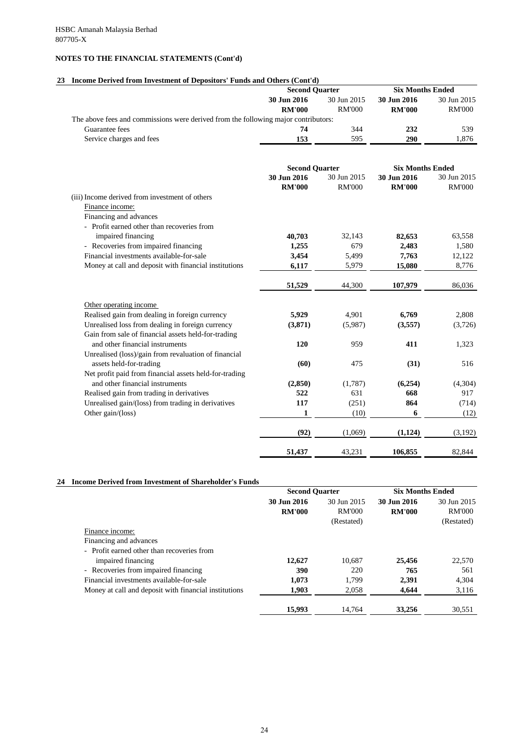# **23 Income Derived from Investment of Depositors' Funds and Others (Cont'd)**

|                                                                                    | <b>Second Quarter</b> |               | <b>Six Months Ended</b> |               |
|------------------------------------------------------------------------------------|-----------------------|---------------|-------------------------|---------------|
|                                                                                    | 30 Jun 2016           | 30 Jun 2015   | 30 Jun 2016             | 30 Jun 2015   |
|                                                                                    | <b>RM'000</b>         | <b>RM'000</b> | <b>RM'000</b>           | <b>RM'000</b> |
| The above fees and commissions were derived from the following major contributors: |                       |               |                         |               |
| Guarantee fees                                                                     | 74                    | 344           | 232                     | 539           |
| Service charges and fees                                                           | 153                   | 595           | 290                     | 1,876         |
|                                                                                    |                       |               |                         |               |
|                                                                                    | <b>Second Quarter</b> |               | <b>Six Months Ended</b> |               |
|                                                                                    | 30 Jun 2016           | 30 Jun 2015   | 30 Jun 2016             | 30 Jun 2015   |
|                                                                                    | <b>RM'000</b>         | <b>RM'000</b> | <b>RM'000</b>           | <b>RM'000</b> |
| (iii) Income derived from investment of others                                     |                       |               |                         |               |
| Finance income:                                                                    |                       |               |                         |               |
| Financing and advances                                                             |                       |               |                         |               |
| - Profit earned other than recoveries from                                         |                       |               |                         |               |
| impaired financing                                                                 | 40,703                | 32,143        | 82,653                  | 63,558        |
| - Recoveries from impaired financing                                               | 1,255                 | 679           | 2,483                   | 1,580         |
| Financial investments available-for-sale                                           | 3,454                 | 5,499         | 7,763                   | 12,122        |
| Money at call and deposit with financial institutions                              | 6,117                 | 5,979         | 15,080                  | 8,776         |
|                                                                                    | 51,529                | 44,300        | 107,979                 | 86,036        |
| Other operating income                                                             |                       |               |                         |               |
| Realised gain from dealing in foreign currency                                     | 5,929                 | 4,901         | 6,769                   | 2,808         |
| Unrealised loss from dealing in foreign currency                                   | (3,871)               | (5,987)       | (3,557)                 | (3,726)       |
| Gain from sale of financial assets held-for-trading                                |                       |               |                         |               |
| and other financial instruments                                                    | 120                   | 959           | 411                     | 1,323         |
| Unrealised (loss)/gain from revaluation of financial                               |                       |               |                         |               |
| assets held-for-trading                                                            | (60)                  | 475           | (31)                    | 516           |
| Net profit paid from financial assets held-for-trading                             |                       |               |                         |               |
| and other financial instruments                                                    | (2, 850)              | (1,787)       | (6,254)                 | (4,304)       |
| Realised gain from trading in derivatives                                          | 522                   | 631           | 668                     | 917           |
| Unrealised gain/(loss) from trading in derivatives                                 | 117                   | (251)         | 864                     | (714)         |
| Other gain/(loss)                                                                  | $\mathbf{1}$          | (10)          | 6                       | (12)          |
|                                                                                    | (92)                  | (1,069)       | (1,124)                 | (3,192)       |
|                                                                                    | 51,437                | 43,231        | 106,855                 | 82,844        |

#### **24 Income Derived from Investment of Shareholder's Funds**

|                                                       | <b>Second Quarter</b> |               | <b>Six Months Ended</b> |               |
|-------------------------------------------------------|-----------------------|---------------|-------------------------|---------------|
|                                                       | 30 Jun 2016           | 30 Jun 2015   | 30 Jun 2016             | 30 Jun 2015   |
|                                                       | <b>RM'000</b>         | <b>RM'000</b> | <b>RM'000</b>           | <b>RM'000</b> |
|                                                       |                       | (Restated)    |                         | (Restated)    |
| Finance income:                                       |                       |               |                         |               |
| Financing and advances                                |                       |               |                         |               |
| - Profit earned other than recoveries from            |                       |               |                         |               |
| impaired financing                                    | 12,627                | 10,687        | 25,456                  | 22,570        |
| - Recoveries from impaired financing                  | 390                   | 220           | 765                     | 561           |
| Financial investments available-for-sale              | 1,073                 | 1,799         | 2,391                   | 4,304         |
| Money at call and deposit with financial institutions | 1,903                 | 2,058         | 4,644                   | 3,116         |
|                                                       |                       |               |                         |               |

| 002<br>15,995 | $\sqrt{ }$<br>- - | 75C<br>.430<br>$\cdot$ |  |
|---------------|-------------------|------------------------|--|
|               |                   |                        |  |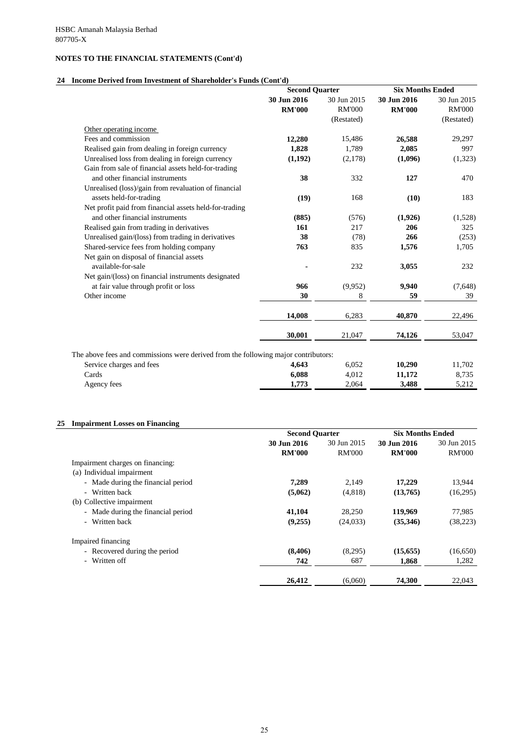## **24 Income Derived from Investment of Shareholder's Funds (Cont'd)**

|                                                                                    | <b>Second Quarter</b>        |                              | <b>Six Months Ended</b>      |                              |
|------------------------------------------------------------------------------------|------------------------------|------------------------------|------------------------------|------------------------------|
|                                                                                    | 30 Jun 2016<br><b>RM'000</b> | 30 Jun 2015<br><b>RM'000</b> | 30 Jun 2016<br><b>RM'000</b> | 30 Jun 2015<br><b>RM'000</b> |
| Other operating income                                                             |                              | (Restated)                   |                              | (Restated)                   |
| Fees and commission                                                                |                              | 15,486                       | 26,588                       | 29,297                       |
|                                                                                    | 12,280                       |                              |                              |                              |
| Realised gain from dealing in foreign currency                                     | 1,828                        | 1,789                        | 2,085                        | 997                          |
| Unrealised loss from dealing in foreign currency                                   | (1,192)                      | (2,178)                      | (1,096)                      | (1,323)                      |
| Gain from sale of financial assets held-for-trading                                |                              |                              |                              |                              |
| and other financial instruments                                                    | 38                           | 332                          | 127                          | 470                          |
| Unrealised (loss)/gain from revaluation of financial                               |                              |                              |                              |                              |
| assets held-for-trading                                                            | (19)                         | 168                          | (10)                         | 183                          |
| Net profit paid from financial assets held-for-trading                             |                              |                              |                              |                              |
| and other financial instruments                                                    | (885)                        | (576)                        | (1,926)                      | (1,528)                      |
| Realised gain from trading in derivatives                                          | 161                          | 217                          | 206                          | 325                          |
| Unrealised gain/(loss) from trading in derivatives                                 | 38                           | (78)                         | 266                          | (253)                        |
| Shared-service fees from holding company                                           | 763                          | 835                          | 1,576                        | 1,705                        |
| Net gain on disposal of financial assets                                           |                              |                              |                              |                              |
| available-for-sale                                                                 |                              | 232                          | 3,055                        | 232                          |
| Net gain/(loss) on financial instruments designated                                |                              |                              |                              |                              |
| at fair value through profit or loss                                               | 966                          | (9,952)                      | 9,940                        | (7,648)                      |
| Other income                                                                       | 30                           | 8                            | 59                           | 39                           |
|                                                                                    | 14,008                       | 6,283                        | 40,870                       | 22,496                       |
|                                                                                    | 30,001                       | 21,047                       | 74,126                       | 53,047                       |
| The above fees and commissions were derived from the following major contributors: |                              |                              |                              |                              |
| Service charges and fees                                                           | 4,643                        | 6,052                        | 10,290                       | 11,702                       |
| Cards                                                                              | 6,088                        | 4,012                        | 11,172                       | 8,735                        |
| Agency fees                                                                        | 1,773                        | 2,064                        | 3,488                        | 5,212                        |

# **25 Impairment Losses on Financing**

|                                    | <b>Second Quarter</b> |               | <b>Six Months Ended</b> |               |
|------------------------------------|-----------------------|---------------|-------------------------|---------------|
|                                    | 30 Jun 2016           | 30 Jun 2015   | 30 Jun 2016             | 30 Jun 2015   |
|                                    | <b>RM'000</b>         | <b>RM'000</b> | <b>RM'000</b>           | <b>RM'000</b> |
| Impairment charges on financing:   |                       |               |                         |               |
| (a) Individual impairment          |                       |               |                         |               |
| - Made during the financial period | 7,289                 | 2,149         | 17,229                  | 13,944        |
| - Written back                     | (5,062)               | (4,818)       | (13,765)                | (16,295)      |
| (b) Collective impairment          |                       |               |                         |               |
| - Made during the financial period | 41,104                | 28,250        | 119,969                 | 77,985        |
| - Written back                     | (9,255)               | (24, 033)     | (35,346)                | (38, 223)     |
| Impaired financing                 |                       |               |                         |               |
| - Recovered during the period      | (8,406)               | (8,295)       | (15, 655)               | (16,650)      |
| - Written off                      | 742                   | 687           | 1,868                   | 1,282         |

 **26,412** (6,060) **74,300** 22,043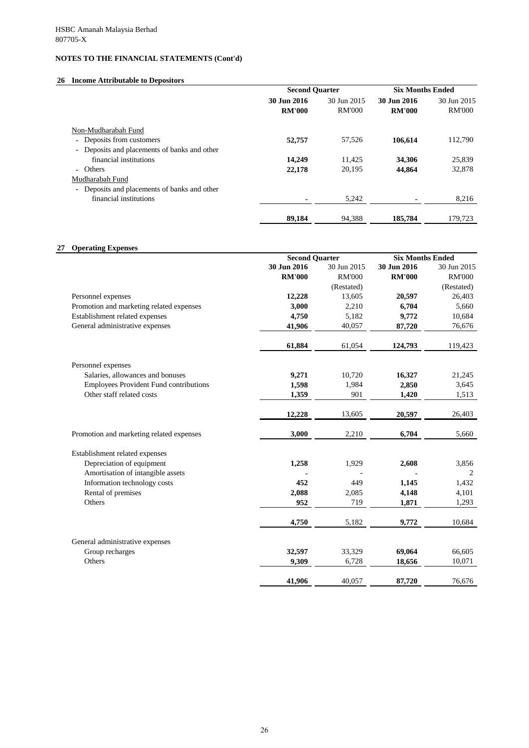# **26 Income Attributable to Depositors**

## **27 Operating Expenses**

|                                              | <b>Second Quarter</b> |               | <b>Six Months Ended</b> |               |
|----------------------------------------------|-----------------------|---------------|-------------------------|---------------|
|                                              | 30 Jun 2016           | 30 Jun 2015   | 30 Jun 2016             | 30 Jun 2015   |
|                                              | <b>RM'000</b>         | <b>RM'000</b> | <b>RM'000</b>           | <b>RM'000</b> |
| Non-Mudharabah Fund                          |                       |               |                         |               |
| Deposits from customers                      | 52,757                | 57,526        | 106,614                 | 112,790       |
| - Deposits and placements of banks and other |                       |               |                         |               |
| financial institutions                       | 14,249                | 11,425        | 34,306                  | 25,839        |
| - Others                                     | 22,178                | 20,195        | 44,864                  | 32,878        |
| Mudharabah Fund                              |                       |               |                         |               |
| Deposits and placements of banks and other   |                       |               |                         |               |
| financial institutions                       |                       | 5,242         |                         | 8,216         |
|                                              | 89,184                | 94,388        | 185,784                 | 179,723       |

|                                               | <b>Second Quarter</b> |               | <b>Six Months Ended</b> |                |
|-----------------------------------------------|-----------------------|---------------|-------------------------|----------------|
|                                               | 30 Jun 2016           | 30 Jun 2015   | 30 Jun 2016             | 30 Jun 2015    |
|                                               | <b>RM'000</b>         | <b>RM'000</b> | <b>RM'000</b>           | <b>RM'000</b>  |
|                                               |                       | (Restated)    |                         | (Restated)     |
| Personnel expenses                            | 12,228                | 13,605        | 20,597                  | 26,403         |
| Promotion and marketing related expenses      | 3,000                 | 2,210         | 6,704                   | 5,660          |
| Establishment related expenses                | 4,750                 | 5,182         | 9,772                   | 10,684         |
| General administrative expenses               | 41,906                | 40,057        | 87,720                  | 76,676         |
|                                               | 61,884                | 61,054        | 124,793                 | 119,423        |
| Personnel expenses                            |                       |               |                         |                |
| Salaries, allowances and bonuses              | 9,271                 | 10,720        | 16,327                  | 21,245         |
| <b>Employees Provident Fund contributions</b> | 1,598                 | 1,984         | 2,850                   | 3,645          |
| Other staff related costs                     | 1,359                 | 901           | 1,420                   | 1,513          |
|                                               | 12,228                | 13,605        | 20,597                  | 26,403         |
| Promotion and marketing related expenses      | 3,000                 | 2,210         | 6,704                   | 5,660          |
| Establishment related expenses                |                       |               |                         |                |
| Depreciation of equipment                     | 1,258                 | 1,929         | 2,608                   | 3,856          |
| Amortisation of intangible assets             |                       |               |                         | $\overline{2}$ |
| Information technology costs                  | 452                   | 449           | 1,145                   | 1,432          |
| Rental of premises                            | 2,088                 | 2,085         | 4,148                   | 4,101          |
| Others                                        | 952                   | 719           | 1,871                   | 1,293          |
|                                               | 4,750                 | 5,182         | 9,772                   | 10,684         |
| General administrative expenses               |                       |               |                         |                |
| Group recharges                               | 32,597                | 33,329        | 69,064                  | 66,605         |
| Others                                        | 9,309                 | 6,728         | 18,656                  | 10,071         |

**41,906** 40,057 87,720 76,676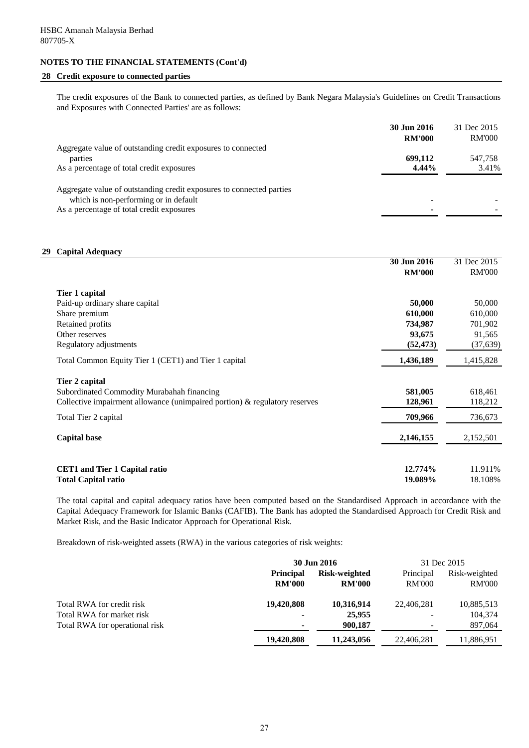#### **28 Credit exposure to connected parties**

The credit exposures of the Bank to connected parties, as defined by Bank Negara Malaysia's Guidelines on Credit Transactions and Exposures with Connected Parties' are as follows:

|                                                                                                                                                            | 30 Jun 2016   | 31 Dec 2015   |
|------------------------------------------------------------------------------------------------------------------------------------------------------------|---------------|---------------|
|                                                                                                                                                            | <b>RM'000</b> | <b>RM'000</b> |
| Aggregate value of outstanding credit exposures to connected                                                                                               |               |               |
| parties                                                                                                                                                    | 699,112       | 547,758       |
| As a percentage of total credit exposures                                                                                                                  | $4.44\%$      | 3.41%         |
| Aggregate value of outstanding credit exposures to connected parties<br>which is non-performing or in default<br>As a percentage of total credit exposures |               |               |

#### **29 Capital Adequacy**

|                                                                            | 30 Jun 2016   | 31 Dec 2015   |
|----------------------------------------------------------------------------|---------------|---------------|
|                                                                            | <b>RM'000</b> | <b>RM'000</b> |
| Tier 1 capital                                                             |               |               |
| Paid-up ordinary share capital                                             | 50,000        | 50,000        |
| Share premium                                                              | 610,000       | 610,000       |
| Retained profits                                                           | 734,987       | 701,902       |
| Other reserves                                                             | 93,675        | 91,565        |
| Regulatory adjustments                                                     | (52, 473)     | (37, 639)     |
| Total Common Equity Tier 1 (CET1) and Tier 1 capital                       | 1,436,189     | 1,415,828     |
| Tier 2 capital                                                             |               |               |
| Subordinated Commodity Murabahah financing                                 | 581,005       | 618,461       |
| Collective impairment allowance (unimpaired portion) & regulatory reserves | 128,961       | 118,212       |
| Total Tier 2 capital                                                       | 709,966       | 736,673       |
| <b>Capital base</b>                                                        | 2,146,155     | 2,152,501     |
| <b>CET1</b> and Tier 1 Capital ratio                                       | 12.774%       | 11.911%       |
| <b>Total Capital ratio</b>                                                 | 19.089%       | 18.108%       |
|                                                                            |               |               |

The total capital and capital adequacy ratios have been computed based on the Standardised Approach in accordance with the Capital Adequacy Framework for Islamic Banks (CAFIB). The Bank has adopted the Standardised Approach for Credit Risk and Market Risk, and the Basic Indicator Approach for Operational Risk.

Breakdown of risk-weighted assets (RWA) in the various categories of risk weights:

|                                | 30 Jun 2016      | 31 Dec 2015   |               |               |
|--------------------------------|------------------|---------------|---------------|---------------|
|                                | <b>Principal</b> | Risk-weighted | Principal     | Risk-weighted |
|                                | <b>RM'000</b>    | <b>RM'000</b> | <b>RM'000</b> | <b>RM'000</b> |
| Total RWA for credit risk      | 19,420,808       | 10,316,914    | 22,406,281    | 10,885,513    |
| Total RWA for market risk      | $\blacksquare$   | 25,955        |               | 104,374       |
| Total RWA for operational risk | ۰                | 900,187       |               | 897,064       |
|                                | 19,420,808       | 11,243,056    | 22,406,281    | 11,886,951    |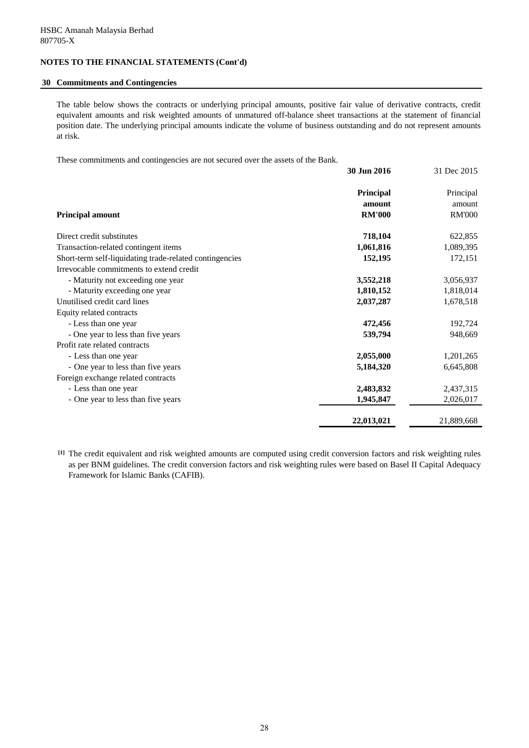#### **30 Commitments and Contingencies**

The table below shows the contracts or underlying principal amounts, positive fair value of derivative contracts, credit equivalent amounts and risk weighted amounts of unmatured off-balance sheet transactions at the statement of financial position date. The underlying principal amounts indicate the volume of business outstanding and do not represent amounts at risk.

These commitments and contingencies are not secured over the assets of the Bank.

|                                                         | 30 Jun 2016   | 31 Dec 2015   |
|---------------------------------------------------------|---------------|---------------|
|                                                         | Principal     | Principal     |
|                                                         | amount        | amount        |
| <b>Principal amount</b>                                 | <b>RM'000</b> | <b>RM'000</b> |
| Direct credit substitutes                               | 718,104       | 622,855       |
| Transaction-related contingent items                    | 1,061,816     | 1,089,395     |
| Short-term self-liquidating trade-related contingencies | 152,195       | 172,151       |
| Irrevocable commitments to extend credit                |               |               |
| - Maturity not exceeding one year                       | 3,552,218     | 3,056,937     |
| - Maturity exceeding one year                           | 1,810,152     | 1,818,014     |
| Unutilised credit card lines                            | 2,037,287     | 1,678,518     |
| Equity related contracts                                |               |               |
| - Less than one year                                    | 472,456       | 192,724       |
| - One year to less than five years                      | 539,794       | 948,669       |
| Profit rate related contracts                           |               |               |
| - Less than one year                                    | 2,055,000     | 1,201,265     |
| - One year to less than five years                      | 5,184,320     | 6,645,808     |
| Foreign exchange related contracts                      |               |               |
| - Less than one year                                    | 2,483,832     | 2,437,315     |
| - One year to less than five years                      | 1,945,847     | 2,026,017     |
|                                                         | 22,013,021    | 21,889,668    |

**[1]** The credit equivalent and risk weighted amounts are computed using credit conversion factors and risk weighting rules as per BNM guidelines. The credit conversion factors and risk weighting rules were based on Basel II Capital Adequacy Framework for Islamic Banks (CAFIB).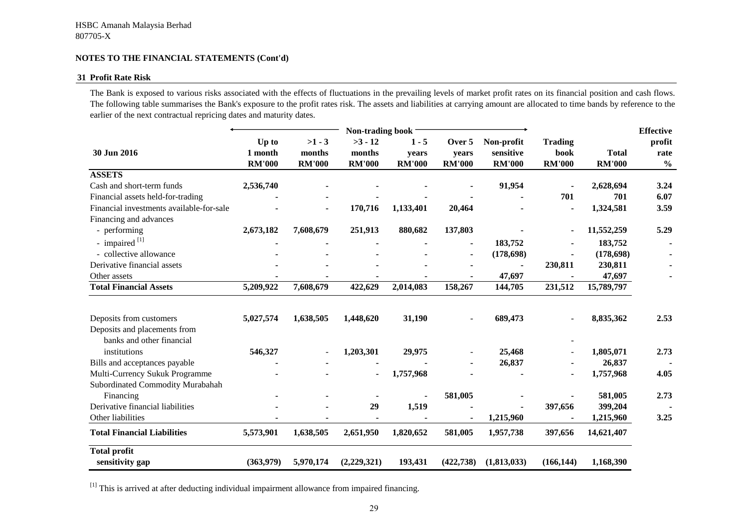#### **31 Profit Rate Risk**

The Bank is exposed to various risks associated with the effects of fluctuations in the prevailing levels of market profit rates on its financial position and cash flows. The following table summarises the Bank's exposure to the profit rates risk. The assets and liabilities at carrying amount are allocated to time bands by reference to the earlier of the next contractual repricing dates and maturity dates.

|                                          | Non-trading book |               |               |               |               |               |                | <b>Effective</b> |               |
|------------------------------------------|------------------|---------------|---------------|---------------|---------------|---------------|----------------|------------------|---------------|
|                                          | Up to            | $>1 - 3$      | $>3 - 12$     | $1 - 5$       | Over 5        | Non-profit    | <b>Trading</b> |                  | profit        |
| 30 Jun 2016                              | 1 month          | months        | months        | years         | years         | sensitive     | book           | <b>Total</b>     | rate          |
|                                          | <b>RM'000</b>    | <b>RM'000</b> | <b>RM'000</b> | <b>RM'000</b> | <b>RM'000</b> | <b>RM'000</b> | <b>RM'000</b>  | <b>RM'000</b>    | $\frac{0}{0}$ |
| <b>ASSETS</b>                            |                  |               |               |               |               |               |                |                  |               |
| Cash and short-term funds                | 2,536,740        |               |               |               |               | 91,954        |                | 2,628,694        | 3.24          |
| Financial assets held-for-trading        |                  |               |               |               |               |               | 701            | 701              | 6.07          |
| Financial investments available-for-sale |                  |               | 170,716       | 1,133,401     | 20,464        |               |                | 1,324,581        | 3.59          |
| Financing and advances                   |                  |               |               |               |               |               |                |                  |               |
| - performing                             | 2,673,182        | 7,608,679     | 251,913       | 880,682       | 137,803       |               | $\blacksquare$ | 11,552,259       | 5.29          |
| - impaired $^{[1]}$                      |                  |               |               |               |               | 183,752       |                | 183,752          |               |
| - collective allowance                   |                  |               |               |               |               | (178, 698)    |                | (178, 698)       |               |
| Derivative financial assets              |                  |               |               |               |               |               | 230,811        | 230,811          |               |
| Other assets                             |                  |               |               |               |               | 47,697        |                | 47,697           |               |
| <b>Total Financial Assets</b>            | 5,209,922        | 7,608,679     | 422,629       | 2,014,083     | 158,267       | 144,705       | 231,512        | 15,789,797       |               |
|                                          |                  |               |               |               |               |               |                |                  |               |
| Deposits from customers                  | 5,027,574        | 1,638,505     | 1,448,620     | 31,190        |               | 689,473       |                | 8,835,362        | 2.53          |
| Deposits and placements from             |                  |               |               |               |               |               |                |                  |               |
| banks and other financial                |                  |               |               |               |               |               |                |                  |               |
| institutions                             | 546,327          |               | 1,203,301     | 29,975        |               | 25,468        |                | 1,805,071        | 2.73          |
| Bills and acceptances payable            |                  |               |               |               |               | 26,837        |                | 26,837           |               |
| Multi-Currency Sukuk Programme           |                  |               |               | 1,757,968     |               |               |                | 1,757,968        | 4.05          |
| Subordinated Commodity Murabahah         |                  |               |               |               |               |               |                |                  |               |
| Financing                                |                  |               |               |               | 581,005       |               |                | 581,005          | 2.73          |
| Derivative financial liabilities         |                  |               | 29            | 1,519         |               |               | 397,656        | 399,204          |               |
| Other liabilities                        |                  |               |               |               |               | 1,215,960     |                | 1,215,960        | 3.25          |
| <b>Total Financial Liabilities</b>       | 5,573,901        | 1,638,505     | 2,651,950     | 1,820,652     | 581,005       | 1,957,738     | 397,656        | 14,621,407       |               |
| <b>Total profit</b>                      |                  |               |               |               |               |               |                |                  |               |
| sensitivity gap                          | (363,979)        | 5,970,174     | (2,229,321)   | 193,431       | (422, 738)    | (1,813,033)   | (166, 144)     | 1,168,390        |               |

 $[1]$  This is arrived at after deducting individual impairment allowance from impaired financing.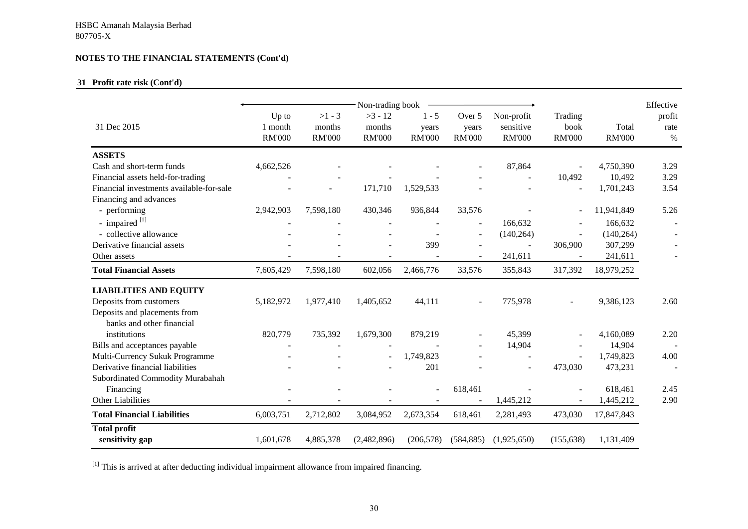## **31 Profit rate risk (Cont'd)**

|                                          | Non-trading book                  |                                     |                                      |                                   |                                  |                                          |                                  |                        |                        |
|------------------------------------------|-----------------------------------|-------------------------------------|--------------------------------------|-----------------------------------|----------------------------------|------------------------------------------|----------------------------------|------------------------|------------------------|
| 31 Dec 2015                              | Up to<br>1 month<br><b>RM'000</b> | $>1 - 3$<br>months<br><b>RM'000</b> | $>3 - 12$<br>months<br><b>RM'000</b> | $1 - 5$<br>years<br><b>RM'000</b> | Over 5<br>years<br><b>RM'000</b> | Non-profit<br>sensitive<br><b>RM'000</b> | Trading<br>book<br><b>RM'000</b> | Total<br><b>RM'000</b> | profit<br>rate<br>$\%$ |
| <b>ASSETS</b>                            |                                   |                                     |                                      |                                   |                                  |                                          |                                  |                        |                        |
| Cash and short-term funds                | 4,662,526                         |                                     |                                      |                                   |                                  | 87,864                                   |                                  | 4,750,390              | 3.29                   |
| Financial assets held-for-trading        |                                   |                                     |                                      |                                   |                                  |                                          | 10,492                           | 10,492                 | 3.29                   |
| Financial investments available-for-sale |                                   |                                     | 171,710                              | 1,529,533                         |                                  |                                          |                                  | 1,701,243              | 3.54                   |
| Financing and advances                   |                                   |                                     |                                      |                                   |                                  |                                          |                                  |                        |                        |
| - performing                             | 2,942,903                         | 7,598,180                           | 430,346                              | 936,844                           | 33,576                           |                                          |                                  | 11,941,849             | 5.26                   |
| - impaired [1]                           |                                   |                                     |                                      |                                   | $\overline{\phantom{a}}$         | 166,632                                  |                                  | 166,632                |                        |
| - collective allowance                   |                                   |                                     |                                      |                                   | $\overline{\phantom{a}}$         | (140, 264)                               |                                  | (140, 264)             |                        |
| Derivative financial assets              |                                   |                                     |                                      | 399                               |                                  |                                          | 306,900                          | 307,299                |                        |
| Other assets                             |                                   |                                     |                                      |                                   | $\overline{\phantom{a}}$         | 241,611                                  |                                  | 241,611                |                        |
| <b>Total Financial Assets</b>            | 7,605,429                         | 7,598,180                           | 602,056                              | 2,466,776                         | 33,576                           | 355,843                                  | 317,392                          | 18,979,252             |                        |
| <b>LIABILITIES AND EQUITY</b>            |                                   |                                     |                                      |                                   |                                  |                                          |                                  |                        |                        |
| Deposits from customers                  | 5,182,972                         | 1,977,410                           | 1,405,652                            | 44,111                            |                                  | 775,978                                  |                                  | 9,386,123              | 2.60                   |
| Deposits and placements from             |                                   |                                     |                                      |                                   |                                  |                                          |                                  |                        |                        |
| banks and other financial                |                                   |                                     |                                      |                                   |                                  |                                          |                                  |                        |                        |
| institutions                             | 820,779                           | 735,392                             | 1,679,300                            | 879,219                           |                                  | 45,399                                   |                                  | 4,160,089              | 2.20                   |
| Bills and acceptances payable            |                                   |                                     |                                      |                                   |                                  | 14,904                                   |                                  | 14,904                 |                        |
| Multi-Currency Sukuk Programme           |                                   |                                     |                                      | 1,749,823                         |                                  |                                          |                                  | 1,749,823              | 4.00                   |
| Derivative financial liabilities         |                                   |                                     |                                      | 201                               |                                  |                                          | 473,030                          | 473,231                |                        |
| Subordinated Commodity Murabahah         |                                   |                                     |                                      |                                   |                                  |                                          |                                  |                        |                        |
| Financing                                |                                   |                                     |                                      |                                   | 618,461                          |                                          |                                  | 618,461                | 2.45                   |
| <b>Other Liabilities</b>                 |                                   |                                     |                                      |                                   |                                  | 1,445,212                                |                                  | 1,445,212              | 2.90                   |
| <b>Total Financial Liabilities</b>       | 6,003,751                         | 2,712,802                           | 3,084,952                            | 2,673,354                         | 618,461                          | 2,281,493                                | 473,030                          | 17,847,843             |                        |
| <b>Total profit</b>                      |                                   |                                     |                                      |                                   |                                  |                                          |                                  |                        |                        |
| sensitivity gap                          | 1,601,678                         | 4,885,378                           | (2,482,896)                          | (206, 578)                        | (584, 885)                       | (1,925,650)                              | (155, 638)                       | 1,131,409              |                        |

<sup>[1]</sup> This is arrived at after deducting individual impairment allowance from impaired financing.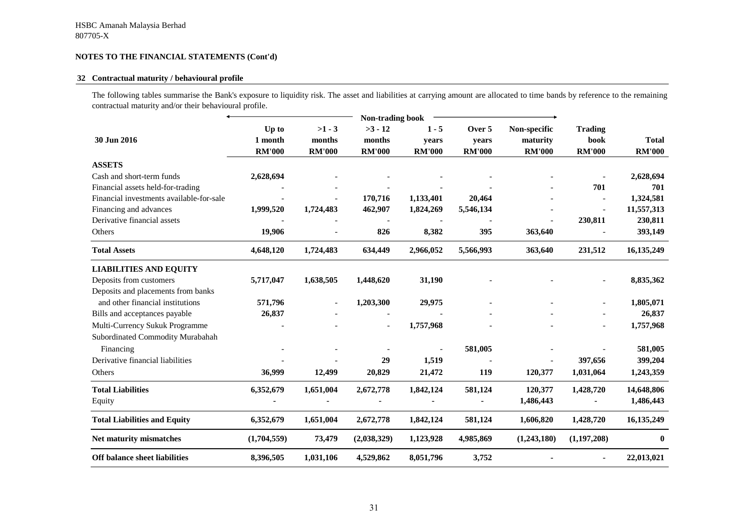#### **32 Contractual maturity / behavioural profile**

The following tables summarise the Bank's exposure to liquidity risk. The asset and liabilities at carrying amount are allocated to time bands by reference to the remaining contractual maturity and/or their behavioural profile.

|                                          | <b>Non-trading book</b> |               |                          |               |               |               |                          |               |
|------------------------------------------|-------------------------|---------------|--------------------------|---------------|---------------|---------------|--------------------------|---------------|
|                                          | Up to                   | $>1 - 3$      | $>3 - 12$                | $1 - 5$       | Over 5        | Non-specific  | <b>Trading</b>           |               |
| 30 Jun 2016                              | 1 month                 | months        | months                   | years         | years         | maturity      | book                     | <b>Total</b>  |
|                                          | <b>RM'000</b>           | <b>RM'000</b> | <b>RM'000</b>            | <b>RM'000</b> | <b>RM'000</b> | <b>RM'000</b> | <b>RM'000</b>            | <b>RM'000</b> |
| <b>ASSETS</b>                            |                         |               |                          |               |               |               |                          |               |
| Cash and short-term funds                | 2,628,694               |               |                          |               |               |               |                          | 2,628,694     |
| Financial assets held-for-trading        |                         |               |                          |               |               |               | 701                      | 701           |
| Financial investments available-for-sale |                         |               | 170,716                  | 1,133,401     | 20,464        |               |                          | 1,324,581     |
| Financing and advances                   | 1,999,520               | 1,724,483     | 462,907                  | 1,824,269     | 5,546,134     |               | $\overline{\phantom{a}}$ | 11,557,313    |
| Derivative financial assets              |                         |               |                          |               |               |               | 230,811                  | 230,811       |
| Others                                   | 19,906                  |               | 826                      | 8,382         | 395           | 363,640       |                          | 393,149       |
| <b>Total Assets</b>                      | 4,648,120               | 1,724,483     | 634,449                  | 2,966,052     | 5,566,993     | 363,640       | 231,512                  | 16, 135, 249  |
| <b>LIABILITIES AND EQUITY</b>            |                         |               |                          |               |               |               |                          |               |
| Deposits from customers                  | 5,717,047               | 1,638,505     | 1,448,620                | 31,190        |               |               |                          | 8,835,362     |
| Deposits and placements from banks       |                         |               |                          |               |               |               |                          |               |
| and other financial institutions         | 571,796                 |               | 1,203,300                | 29,975        |               |               |                          | 1,805,071     |
| Bills and acceptances payable            | 26,837                  |               |                          |               |               |               |                          | 26,837        |
| Multi-Currency Sukuk Programme           |                         |               | $\overline{\phantom{a}}$ | 1,757,968     |               |               |                          | 1,757,968     |
| Subordinated Commodity Murabahah         |                         |               |                          |               |               |               |                          |               |
| Financing                                |                         |               |                          |               | 581,005       |               |                          | 581,005       |
| Derivative financial liabilities         |                         |               | 29                       | 1,519         |               |               | 397,656                  | 399,204       |
| Others                                   | 36,999                  | 12,499        | 20,829                   | 21,472        | 119           | 120,377       | 1,031,064                | 1,243,359     |
| <b>Total Liabilities</b>                 | 6,352,679               | 1,651,004     | 2,672,778                | 1,842,124     | 581,124       | 120,377       | 1,428,720                | 14,648,806    |
| Equity                                   |                         |               |                          |               |               | 1,486,443     |                          | 1,486,443     |
| <b>Total Liabilities and Equity</b>      | 6,352,679               | 1,651,004     | 2,672,778                | 1,842,124     | 581,124       | 1,606,820     | 1,428,720                | 16, 135, 249  |
| Net maturity mismatches                  | (1,704,559)             | 73,479        | (2,038,329)              | 1,123,928     | 4,985,869     | (1,243,180)   | (1, 197, 208)            | $\bf{0}$      |
| <b>Off balance sheet liabilities</b>     | 8,396,505               | 1,031,106     | 4,529,862                | 8,051,796     | 3,752         |               |                          | 22,013,021    |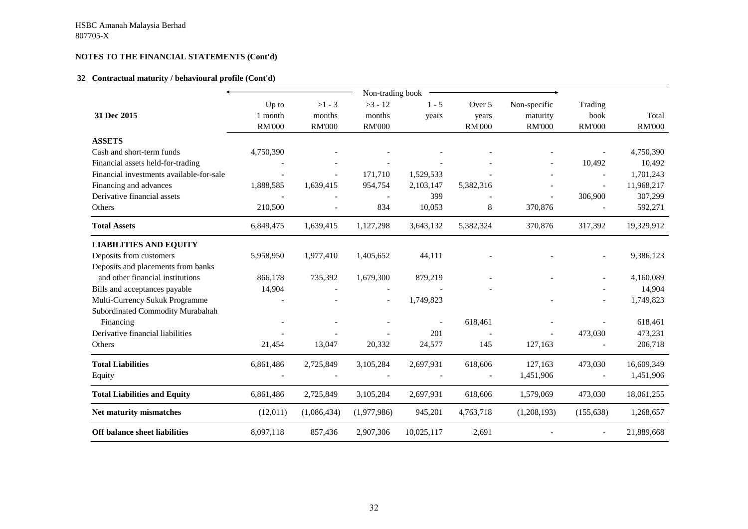#### **32 Contractual maturity / behavioural profile (Cont'd)**

|                                          | Non-trading book |               |               |            |               |               |                          |               |
|------------------------------------------|------------------|---------------|---------------|------------|---------------|---------------|--------------------------|---------------|
|                                          | Up to            | $>1 - 3$      | $>3 - 12$     | $1 - 5$    | Over 5        | Non-specific  | Trading                  |               |
| 31 Dec 2015                              | 1 month          | months        | months        | years      | years         | maturity      | book                     | Total         |
|                                          | <b>RM'000</b>    | <b>RM'000</b> | <b>RM'000</b> |            | <b>RM'000</b> | <b>RM'000</b> | <b>RM'000</b>            | <b>RM'000</b> |
| <b>ASSETS</b>                            |                  |               |               |            |               |               |                          |               |
| Cash and short-term funds                | 4,750,390        |               |               |            |               |               |                          | 4,750,390     |
| Financial assets held-for-trading        |                  |               |               |            |               |               | 10,492                   | 10,492        |
| Financial investments available-for-sale |                  |               | 171,710       | 1,529,533  |               |               | $\overline{\phantom{a}}$ | 1,701,243     |
| Financing and advances                   | 1,888,585        | 1,639,415     | 954,754       | 2,103,147  | 5,382,316     |               | $\overline{a}$           | 11,968,217    |
| Derivative financial assets              |                  |               |               | 399        |               |               | 306,900                  | 307,299       |
| Others                                   | 210,500          |               | 834           | 10,053     | 8             | 370,876       |                          | 592,271       |
| <b>Total Assets</b>                      | 6,849,475        | 1,639,415     | 1,127,298     | 3,643,132  | 5,382,324     | 370,876       | 317,392                  | 19,329,912    |
| <b>LIABILITIES AND EQUITY</b>            |                  |               |               |            |               |               |                          |               |
| Deposits from customers                  | 5,958,950        | 1,977,410     | 1,405,652     | 44,111     |               |               |                          | 9,386,123     |
| Deposits and placements from banks       |                  |               |               |            |               |               |                          |               |
| and other financial institutions         | 866,178          | 735,392       | 1,679,300     | 879,219    |               |               |                          | 4,160,089     |
| Bills and acceptances payable            | 14,904           |               |               |            |               |               |                          | 14,904        |
| Multi-Currency Sukuk Programme           |                  |               |               | 1,749,823  |               |               |                          | 1,749,823     |
| Subordinated Commodity Murabahah         |                  |               |               |            |               |               |                          |               |
| Financing                                |                  |               |               |            | 618,461       |               |                          | 618,461       |
| Derivative financial liabilities         |                  |               |               | 201        |               |               | 473,030                  | 473,231       |
| Others                                   | 21,454           | 13,047        | 20,332        | 24,577     | 145           | 127,163       |                          | 206,718       |
| <b>Total Liabilities</b>                 | 6,861,486        | 2,725,849     | 3,105,284     | 2,697,931  | 618,606       | 127,163       | 473,030                  | 16,609,349    |
| Equity                                   |                  |               |               |            |               | 1,451,906     | $\overline{\phantom{a}}$ | 1,451,906     |
| <b>Total Liabilities and Equity</b>      | 6,861,486        | 2,725,849     | 3,105,284     | 2,697,931  | 618,606       | 1,579,069     | 473,030                  | 18,061,255    |
| Net maturity mismatches                  | (12,011)         | (1,086,434)   | (1,977,986)   | 945,201    | 4,763,718     | (1,208,193)   | (155, 638)               | 1,268,657     |
| <b>Off balance sheet liabilities</b>     | 8,097,118        | 857,436       | 2,907,306     | 10,025,117 | 2,691         |               |                          | 21,889,668    |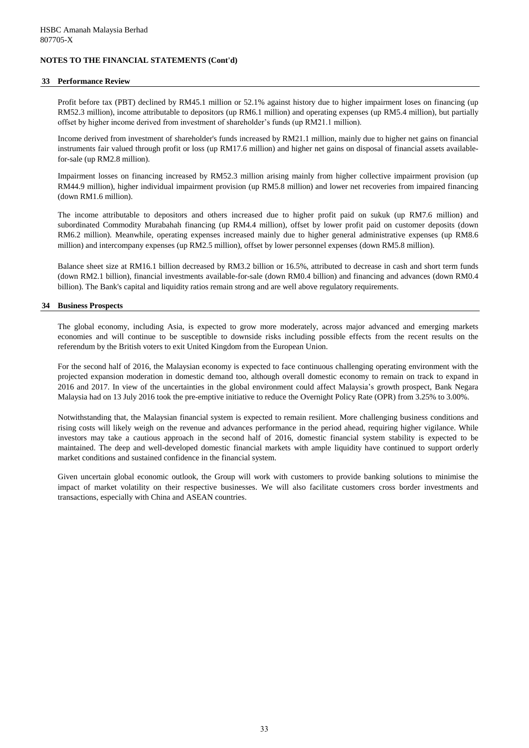#### **33 Performance Review**

Profit before tax (PBT) declined by RM45.1 million or 52.1% against history due to higher impairment loses on financing (up RM52.3 million), income attributable to depositors (up RM6.1 million) and operating expenses (up RM5.4 million), but partially offset by higher income derived from investment of shareholder's funds (up RM21.1 million).

Income derived from investment of shareholder's funds increased by RM21.1 million, mainly due to higher net gains on financial instruments fair valued through profit or loss (up RM17.6 million) and higher net gains on disposal of financial assets availablefor-sale (up RM2.8 million).

Impairment losses on financing increased by RM52.3 million arising mainly from higher collective impairment provision (up RM44.9 million), higher individual impairment provision (up RM5.8 million) and lower net recoveries from impaired financing (down RM1.6 million).

The income attributable to depositors and others increased due to higher profit paid on sukuk (up RM7.6 million) and subordinated Commodity Murabahah financing (up RM4.4 million), offset by lower profit paid on customer deposits (down RM6.2 million). Meanwhile, operating expenses increased mainly due to higher general administrative expenses (up RM8.6 million) and intercompany expenses (up RM2.5 million), offset by lower personnel expenses (down RM5.8 million).

Balance sheet size at RM16.1 billion decreased by RM3.2 billion or 16.5%, attributed to decrease in cash and short term funds (down RM2.1 billion), financial investments available-for-sale (down RM0.4 billion) and financing and advances (down RM0.4 billion). The Bank's capital and liquidity ratios remain strong and are well above regulatory requirements.

#### **34 Business Prospects**

The global economy, including Asia, is expected to grow more moderately, across major advanced and emerging markets economies and will continue to be susceptible to downside risks including possible effects from the recent results on the referendum by the British voters to exit United Kingdom from the European Union.

For the second half of 2016, the Malaysian economy is expected to face continuous challenging operating environment with the projected expansion moderation in domestic demand too, although overall domestic economy to remain on track to expand in 2016 and 2017. In view of the uncertainties in the global environment could affect Malaysia's growth prospect, Bank Negara Malaysia had on 13 July 2016 took the pre-emptive initiative to reduce the Overnight Policy Rate (OPR) from 3.25% to 3.00%.

Notwithstanding that, the Malaysian financial system is expected to remain resilient. More challenging business conditions and rising costs will likely weigh on the revenue and advances performance in the period ahead, requiring higher vigilance. While investors may take a cautious approach in the second half of 2016, domestic financial system stability is expected to be maintained. The deep and well-developed domestic financial markets with ample liquidity have continued to support orderly market conditions and sustained confidence in the financial system.

Given uncertain global economic outlook, the Group will work with customers to provide banking solutions to minimise the impact of market volatility on their respective businesses. We will also facilitate customers cross border investments and transactions, especially with China and ASEAN countries.